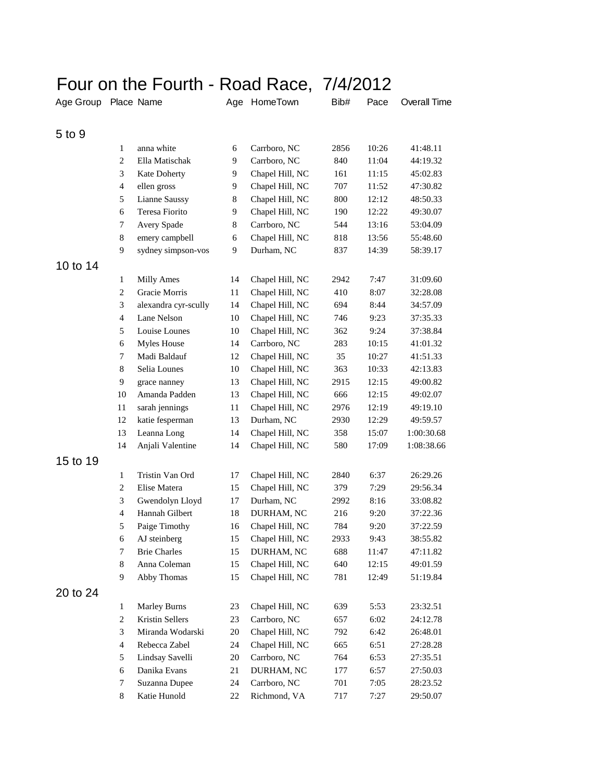## Four on the Fourth - Road Race, 7/4/2012

| Age Group Place Name |                |                        |    | Age HomeTown    | Bib# | Pace  | <b>Overall Time</b> |
|----------------------|----------------|------------------------|----|-----------------|------|-------|---------------------|
| 5 to 9               |                |                        |    |                 |      |       |                     |
|                      | 1              | anna white             | 6  | Carrboro, NC    | 2856 | 10:26 | 41:48.11            |
|                      | $\overline{c}$ | Ella Matischak         | 9  | Carrboro, NC    | 840  | 11:04 | 44:19.32            |
|                      | 3              | Kate Doherty           | 9  | Chapel Hill, NC | 161  | 11:15 | 45:02.83            |
|                      | $\overline{4}$ | ellen gross            | 9  | Chapel Hill, NC | 707  | 11:52 | 47:30.82            |
|                      | 5              | <b>Lianne Saussy</b>   | 8  | Chapel Hill, NC | 800  | 12:12 | 48:50.33            |
|                      | 6              | Teresa Fiorito         | 9  | Chapel Hill, NC | 190  | 12:22 | 49:30.07            |
|                      | 7              | Avery Spade            | 8  | Carrboro, NC    | 544  | 13:16 | 53:04.09            |
|                      | 8              | emery campbell         | 6  | Chapel Hill, NC | 818  | 13:56 | 55:48.60            |
|                      | 9              | sydney simpson-vos     | 9  | Durham, NC      | 837  | 14:39 | 58:39.17            |
| 10 to 14             |                |                        |    |                 |      |       |                     |
|                      | $\mathbf{1}$   | Milly Ames             | 14 | Chapel Hill, NC | 2942 | 7:47  | 31:09.60            |
|                      | $\overline{c}$ | Gracie Morris          | 11 | Chapel Hill, NC | 410  | 8:07  | 32:28.08            |
|                      | 3              | alexandra cyr-scully   | 14 | Chapel Hill, NC | 694  | 8:44  | 34:57.09            |
|                      | $\overline{4}$ | Lane Nelson            | 10 | Chapel Hill, NC | 746  | 9:23  | 37:35.33            |
|                      | 5              | Louise Lounes          | 10 | Chapel Hill, NC | 362  | 9:24  | 37:38.84            |
|                      | 6              | Myles House            | 14 | Carrboro, NC    | 283  | 10:15 | 41:01.32            |
|                      | 7              | Madi Baldauf           | 12 | Chapel Hill, NC | 35   | 10:27 | 41:51.33            |
|                      | $8\,$          | Selia Lounes           | 10 | Chapel Hill, NC | 363  | 10:33 | 42:13.83            |
|                      | 9              | grace nanney           | 13 | Chapel Hill, NC | 2915 | 12:15 | 49:00.82            |
|                      | 10             | Amanda Padden          | 13 | Chapel Hill, NC | 666  | 12:15 | 49:02.07            |
|                      | 11             | sarah jennings         | 11 | Chapel Hill, NC | 2976 | 12:19 | 49:19.10            |
|                      | 12             | katie fesperman        | 13 | Durham, NC      | 2930 | 12:29 | 49:59.57            |
|                      | 13             | Leanna Long            | 14 | Chapel Hill, NC | 358  | 15:07 | 1:00:30.68          |
|                      | 14             | Anjali Valentine       | 14 | Chapel Hill, NC | 580  | 17:09 | 1:08:38.66          |
| 15 to 19             |                |                        |    |                 |      |       |                     |
|                      | 1              | Tristin Van Ord        | 17 | Chapel Hill, NC | 2840 | 6:37  | 26:29.26            |
|                      | $\overline{c}$ | Elise Matera           | 15 | Chapel Hill, NC | 379  | 7:29  | 29:56.34            |
|                      | 3              | Gwendolyn Lloyd        | 17 | Durham, NC      | 2992 | 8:16  | 33:08.82            |
|                      | $\overline{4}$ | Hannah Gilbert         | 18 | DURHAM, NC      | 216  | 9:20  | 37:22.36            |
|                      | 5              | Paige Timothy          | 16 | Chapel Hill, NC | 784  | 9:20  | 37:22.59            |
|                      | 6              | AJ steinberg           | 15 | Chapel Hill, NC | 2933 | 9:43  | 38:55.82            |
|                      | 7              | <b>Brie Charles</b>    | 15 | DURHAM, NC      | 688  | 11:47 | 47:11.82            |
|                      | 8              | Anna Coleman           | 15 | Chapel Hill, NC | 640  | 12:15 | 49:01.59            |
|                      | 9              | Abby Thomas            | 15 | Chapel Hill, NC | 781  | 12:49 | 51:19.84            |
| 20 to 24             |                |                        |    |                 |      |       |                     |
|                      | 1              | <b>Marley Burns</b>    | 23 | Chapel Hill, NC | 639  | 5:53  | 23:32.51            |
|                      | $\overline{c}$ | <b>Kristin Sellers</b> | 23 | Carrboro, NC    | 657  | 6:02  | 24:12.78            |
|                      | 3              | Miranda Wodarski       | 20 | Chapel Hill, NC | 792  | 6:42  | 26:48.01            |
|                      | $\overline{4}$ | Rebecca Zabel          | 24 | Chapel Hill, NC | 665  | 6:51  | 27:28.28            |
|                      | 5              | Lindsay Savelli        | 20 | Carrboro, NC    | 764  | 6:53  | 27:35.51            |
|                      | 6              | Danika Evans           | 21 | DURHAM, NC      | 177  | 6:57  | 27:50.03            |
|                      | 7              | Suzanna Dupee          | 24 | Carrboro, NC    | 701  | 7:05  | 28:23.52            |
|                      | 8              | Katie Hunold           | 22 | Richmond, VA    | 717  | 7:27  | 29:50.07            |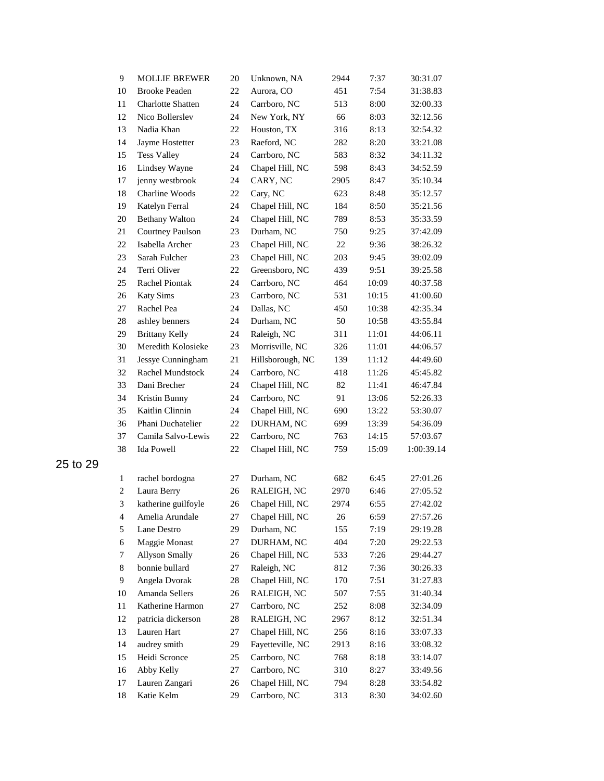| 9              | <b>MOLLIE BREWER</b>     | 20 | Unknown, NA      | 2944 | 7:37  | 30:31.07   |
|----------------|--------------------------|----|------------------|------|-------|------------|
| 10             | <b>Brooke Peaden</b>     | 22 | Aurora, CO       | 451  | 7:54  | 31:38.83   |
| 11             | <b>Charlotte Shatten</b> | 24 | Carrboro, NC     | 513  | 8:00  | 32:00.33   |
| 12             | Nico Bollerslev          | 24 | New York, NY     | 66   | 8:03  | 32:12.56   |
| 13             | Nadia Khan               | 22 | Houston, TX      | 316  | 8:13  | 32:54.32   |
| 14             | Jayme Hostetter          | 23 | Raeford, NC      | 282  | 8:20  | 33:21.08   |
| 15             | <b>Tess Valley</b>       | 24 | Carrboro, NC     | 583  | 8:32  | 34:11.32   |
| 16             | Lindsey Wayne            | 24 | Chapel Hill, NC  | 598  | 8:43  | 34:52.59   |
| 17             | jenny westbrook          | 24 | CARY, NC         | 2905 | 8:47  | 35:10.34   |
| 18             | Charline Woods           | 22 | Cary, NC         | 623  | 8:48  | 35:12.57   |
| 19             | Katelyn Ferral           | 24 | Chapel Hill, NC  | 184  | 8:50  | 35:21.56   |
| 20             | <b>Bethany Walton</b>    | 24 | Chapel Hill, NC  | 789  | 8:53  | 35:33.59   |
| $21\,$         | <b>Courtney Paulson</b>  | 23 | Durham, NC       | 750  | 9:25  | 37:42.09   |
| 22             | Isabella Archer          | 23 | Chapel Hill, NC  | 22   | 9:36  | 38:26.32   |
| 23             | Sarah Fulcher            | 23 | Chapel Hill, NC  | 203  | 9:45  | 39:02.09   |
| 24             | Terri Oliver             | 22 | Greensboro, NC   | 439  | 9:51  | 39:25.58   |
| 25             | Rachel Piontak           | 24 | Carrboro, NC     | 464  | 10:09 | 40:37.58   |
| 26             | <b>Katy Sims</b>         | 23 | Carrboro, NC     | 531  | 10:15 | 41:00.60   |
| 27             | Rachel Pea               | 24 | Dallas, NC       | 450  | 10:38 | 42:35.34   |
| 28             | ashley benners           | 24 | Durham, NC       | 50   | 10:58 | 43:55.84   |
| 29             | <b>Brittany Kelly</b>    | 24 | Raleigh, NC      | 311  | 11:01 | 44:06.11   |
| 30             | Meredith Kolosieke       | 23 | Morrisville, NC  | 326  | 11:01 | 44:06.57   |
| 31             | Jessye Cunningham        | 21 | Hillsborough, NC | 139  | 11:12 | 44:49.60   |
| 32             | Rachel Mundstock         | 24 | Carrboro, NC     | 418  | 11:26 | 45:45.82   |
| 33             | Dani Brecher             | 24 | Chapel Hill, NC  | 82   | 11:41 | 46:47.84   |
| 34             | Kristin Bunny            | 24 | Carrboro, NC     | 91   | 13:06 | 52:26.33   |
| 35             | Kaitlin Clinnin          | 24 | Chapel Hill, NC  | 690  | 13:22 | 53:30.07   |
| 36             | Phani Duchatelier        | 22 | DURHAM, NC       | 699  | 13:39 | 54:36.09   |
| 37             | Camila Salvo-Lewis       | 22 | Carrboro, NC     | 763  | 14:15 | 57:03.67   |
| 38             | <b>Ida Powell</b>        | 22 | Chapel Hill, NC  | 759  | 15:09 | 1:00:39.14 |
| $\,1$          | rachel bordogna          | 27 | Durham, NC       | 682  | 6:45  | 27:01.26   |
| $\overline{c}$ | Laura Berry              | 26 | RALEIGH, NC      | 2970 | 6:46  | 27:05.52   |
| 3              | katherine guilfoyle      | 26 | Chapel Hill, NC  | 2974 | 6:55  | 27:42.02   |
| 4              | Amelia Arundale          | 27 | Chapel Hill, NC  | 26   | 6:59  | 27:57.26   |
| 5              | Lane Destro              | 29 | Durham, NC       | 155  | 7:19  | 29:19.28   |
| 6              | Maggie Monast            | 27 | DURHAM, NC       | 404  | 7:20  | 29:22.53   |
| 7              | <b>Allyson Smally</b>    | 26 | Chapel Hill, NC  | 533  | 7:26  | 29:44.27   |
| 8              | bonnie bullard           | 27 | Raleigh, NC      | 812  | 7:36  | 30:26.33   |
| 9              | Angela Dvorak            | 28 | Chapel Hill, NC  | 170  | 7:51  | 31:27.83   |
| 10             | Amanda Sellers           | 26 | RALEIGH, NC      | 507  | 7:55  | 31:40.34   |
| 11             | Katherine Harmon         | 27 | Carrboro, NC     | 252  | 8:08  | 32:34.09   |
| 12             | patricia dickerson       | 28 | RALEIGH, NC      | 2967 | 8:12  | 32:51.34   |
| 13             | Lauren Hart              | 27 | Chapel Hill, NC  | 256  | 8:16  | 33:07.33   |
| 14             | audrey smith             | 29 | Fayetteville, NC | 2913 | 8:16  | 33:08.32   |
| 15             | Heidi Scronce            | 25 | Carrboro, NC     | 768  | 8:18  | 33:14.07   |
| 16             | Abby Kelly               | 27 | Carrboro, NC     | 310  | 8:27  | 33:49.56   |
| 17             | Lauren Zangari           | 26 | Chapel Hill, NC  | 794  | 8:28  | 33:54.82   |
| 18             | Katie Kelm               | 29 | Carrboro, NC     | 313  | 8:30  | 34:02.60   |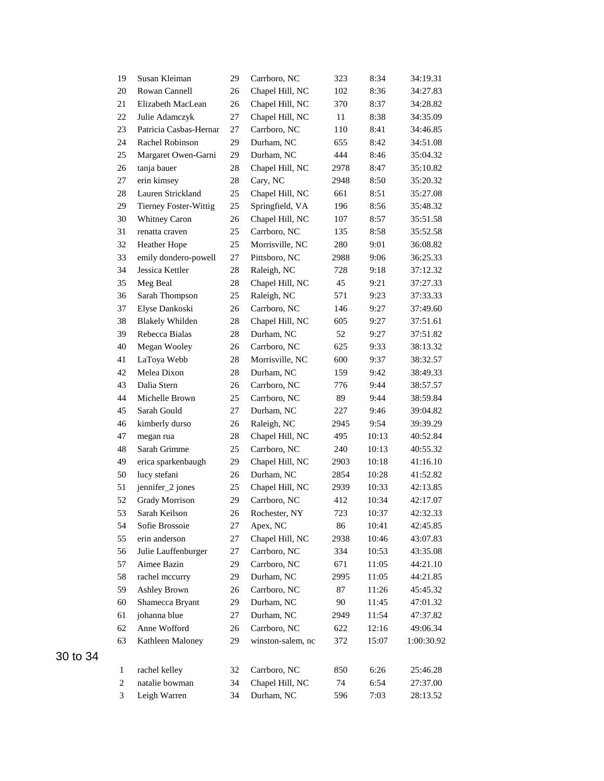| 19             | Susan Kleiman                | 29 | Carrboro, NC      | 323  | 8:34  | 34:19.31   |
|----------------|------------------------------|----|-------------------|------|-------|------------|
| 20             | Rowan Cannell                | 26 | Chapel Hill, NC   | 102  | 8:36  | 34:27.83   |
| 21             | Elizabeth MacLean            | 26 | Chapel Hill, NC   | 370  | 8:37  | 34:28.82   |
| 22             | Julie Adamczyk               | 27 | Chapel Hill, NC   | 11   | 8:38  | 34:35.09   |
| 23             | Patricia Casbas-Hernar       | 27 | Carrboro, NC      | 110  | 8:41  | 34:46.85   |
| 24             | Rachel Robinson              | 29 | Durham, NC        | 655  | 8:42  | 34:51.08   |
| 25             | Margaret Owen-Garni          | 29 | Durham, NC        | 444  | 8:46  | 35:04.32   |
| 26             | tanja bauer                  | 28 | Chapel Hill, NC   | 2978 | 8:47  | 35:10.82   |
| 27             | erin kimsey                  | 28 | Cary, NC          | 2948 | 8:50  | 35:20.32   |
| 28             | Lauren Strickland            | 25 | Chapel Hill, NC   | 661  | 8:51  | 35:27.08   |
| 29             | <b>Tierney Foster-Wittig</b> | 25 | Springfield, VA   | 196  | 8:56  | 35:48.32   |
| 30             | Whitney Caron                | 26 | Chapel Hill, NC   | 107  | 8:57  | 35:51.58   |
| 31             | renatta craven               | 25 | Carrboro, NC      | 135  | 8:58  | 35:52.58   |
| 32             | <b>Heather Hope</b>          | 25 | Morrisville, NC   | 280  | 9:01  | 36:08.82   |
| 33             | emily dondero-powell         | 27 | Pittsboro, NC     | 2988 | 9:06  | 36:25.33   |
| 34             | Jessica Kettler              | 28 | Raleigh, NC       | 728  | 9:18  | 37:12.32   |
| 35             | Meg Beal                     | 28 | Chapel Hill, NC   | 45   | 9:21  | 37:27.33   |
| 36             | Sarah Thompson               | 25 | Raleigh, NC       | 571  | 9:23  | 37:33.33   |
| 37             | Elyse Dankoski               | 26 | Carrboro, NC      | 146  | 9:27  | 37:49.60   |
| 38             | <b>Blakely Whilden</b>       | 28 | Chapel Hill, NC   | 605  | 9:27  | 37:51.61   |
| 39             | Rebecca Bialas               | 28 | Durham, NC        | 52   | 9:27  | 37:51.82   |
| 40             | Megan Wooley                 | 26 | Carrboro, NC      | 625  | 9:33  | 38:13.32   |
| 41             | LaToya Webb                  | 28 | Morrisville, NC   | 600  | 9:37  | 38:32.57   |
| 42             | Melea Dixon                  | 28 | Durham, NC        | 159  | 9:42  | 38:49.33   |
| 43             | Dalia Stern                  | 26 | Carrboro, NC      | 776  | 9:44  | 38:57.57   |
| 44             | Michelle Brown               | 25 | Carrboro, NC      | 89   | 9:44  | 38:59.84   |
| 45             | Sarah Gould                  | 27 | Durham, NC        | 227  | 9:46  | 39:04.82   |
| 46             | kimberly durso               | 26 | Raleigh, NC       | 2945 | 9:54  | 39:39.29   |
| 47             | megan rua                    | 28 | Chapel Hill, NC   | 495  | 10:13 | 40:52.84   |
| 48             | Sarah Grimme                 | 25 | Carrboro, NC      | 240  | 10:13 | 40:55.32   |
| 49             | erica sparkenbaugh           | 29 | Chapel Hill, NC   | 2903 | 10:18 | 41:16.10   |
| 50             | lucy stefani                 | 26 | Durham, NC        | 2854 | 10:28 | 41:52.82   |
| 51             | jennifer_2 jones             | 25 | Chapel Hill, NC   | 2939 | 10:33 | 42:13.85   |
| 52             | <b>Grady Morrison</b>        | 29 | Carrboro, NC      | 412  | 10:34 | 42:17.07   |
| 53             | Sarah Keilson                | 26 | Rochester, NY     | 723  | 10:37 | 42:32.33   |
| 54             | Sofie Brossoie               | 27 | Apex, NC          | 86   | 10:41 | 42:45.85   |
| 55             | erin anderson                | 27 | Chapel Hill, NC   | 2938 | 10:46 | 43:07.83   |
| 56             | Julie Lauffenburger          | 27 | Carrboro, NC      | 334  | 10:53 | 43:35.08   |
| 57             | Aimee Bazin                  | 29 | Carrboro, NC      | 671  | 11:05 | 44:21.10   |
| 58             | rachel mccurry               | 29 | Durham, NC        | 2995 | 11:05 | 44:21.85   |
| 59             | <b>Ashley Brown</b>          | 26 | Carrboro, NC      | 87   | 11:26 | 45:45.32   |
| 60             | Shamecca Bryant              | 29 | Durham, NC        | 90   | 11:45 | 47:01.32   |
| 61             | johanna blue                 | 27 | Durham, NC        | 2949 | 11:54 | 47:37.82   |
| 62             | Anne Wofford                 | 26 | Carrboro, NC      | 622  | 12:16 | 49:06.34   |
| 63             | Kathleen Maloney             | 29 | winston-salem, nc | 372  | 15:07 | 1:00:30.92 |
| $\mathbf{1}$   | rachel kelley                | 32 | Carrboro, NC      | 850  | 6:26  | 25:46.28   |
| $\overline{c}$ | natalie bowman               | 34 | Chapel Hill, NC   | 74   | 6:54  | 27:37.00   |
| 3              | Leigh Warren                 | 34 | Durham, NC        | 596  | 7:03  | 28:13.52   |
|                |                              |    |                   |      |       |            |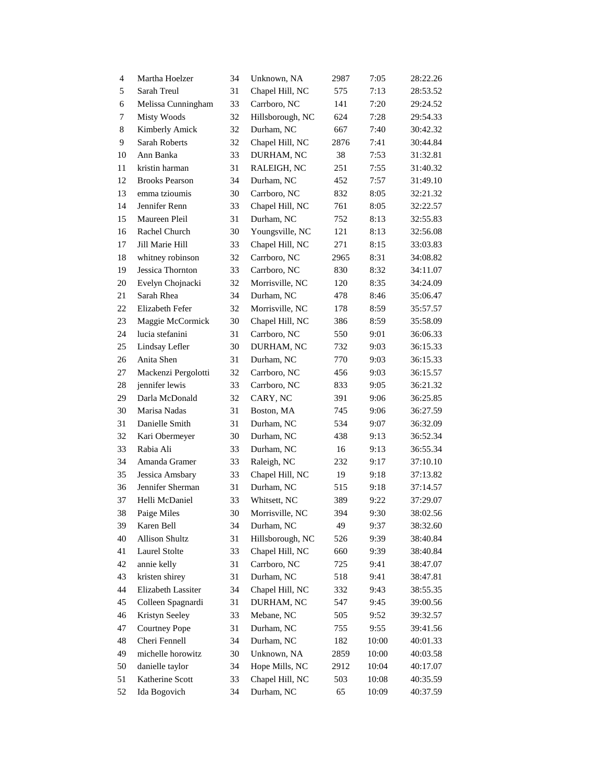| $\overline{4}$ | Martha Hoelzer        | 34 | Unknown, NA      | 2987 | 7:05  | 28:22.26 |
|----------------|-----------------------|----|------------------|------|-------|----------|
| 5              | Sarah Treul           | 31 | Chapel Hill, NC  | 575  | 7:13  | 28:53.52 |
| 6              | Melissa Cunningham    | 33 | Carrboro, NC     | 141  | 7:20  | 29:24.52 |
| $\tau$         | <b>Misty Woods</b>    | 32 | Hillsborough, NC | 624  | 7:28  | 29:54.33 |
| $\,8\,$        | Kimberly Amick        | 32 | Durham, NC       | 667  | 7:40  | 30:42.32 |
| 9              | Sarah Roberts         | 32 | Chapel Hill, NC  | 2876 | 7:41  | 30:44.84 |
| 10             | Ann Banka             | 33 | DURHAM, NC       | 38   | 7:53  | 31:32.81 |
| 11             | kristin harman        | 31 | RALEIGH, NC      | 251  | 7:55  | 31:40.32 |
| 12             | <b>Brooks Pearson</b> | 34 | Durham, NC       | 452  | 7:57  | 31:49.10 |
| 13             | emma tzioumis         | 30 | Carrboro, NC     | 832  | 8:05  | 32:21.32 |
| 14             | Jennifer Renn         | 33 | Chapel Hill, NC  | 761  | 8:05  | 32:22.57 |
| 15             | Maureen Pleil         | 31 | Durham, NC       | 752  | 8:13  | 32:55.83 |
| 16             | Rachel Church         | 30 | Youngsville, NC  | 121  | 8:13  | 32:56.08 |
| 17             | Jill Marie Hill       | 33 | Chapel Hill, NC  | 271  | 8:15  | 33:03.83 |
| 18             | whitney robinson      | 32 | Carrboro, NC     | 2965 | 8:31  | 34:08.82 |
| 19             | Jessica Thornton      | 33 | Carrboro, NC     | 830  | 8:32  | 34:11.07 |
| 20             | Evelyn Chojnacki      | 32 | Morrisville, NC  | 120  | 8:35  | 34:24.09 |
| 21             | Sarah Rhea            | 34 | Durham, NC       | 478  | 8:46  | 35:06.47 |
| 22             | Elizabeth Fefer       | 32 | Morrisville, NC  | 178  | 8:59  | 35:57.57 |
| 23             | Maggie McCormick      | 30 | Chapel Hill, NC  | 386  | 8:59  | 35:58.09 |
| 24             | lucia stefanini       | 31 | Carrboro, NC     | 550  | 9:01  | 36:06.33 |
| 25             | Lindsay Lefler        | 30 | DURHAM, NC       | 732  | 9:03  | 36:15.33 |
| 26             | Anita Shen            | 31 | Durham, NC       | 770  | 9:03  | 36:15.33 |
| 27             | Mackenzi Pergolotti   | 32 | Carrboro, NC     | 456  | 9:03  | 36:15.57 |
| 28             | jennifer lewis        | 33 | Carrboro, NC     | 833  | 9:05  | 36:21.32 |
| 29             | Darla McDonald        | 32 | CARY, NC         | 391  | 9:06  | 36:25.85 |
| 30             | Marisa Nadas          | 31 | Boston, MA       | 745  | 9:06  | 36:27.59 |
| 31             | Danielle Smith        | 31 | Durham, NC       | 534  | 9:07  | 36:32.09 |
| 32             | Kari Obermeyer        | 30 | Durham, NC       | 438  | 9:13  | 36:52.34 |
| 33             | Rabia Ali             | 33 | Durham, NC       | 16   | 9:13  | 36:55.34 |
| 34             | Amanda Gramer         | 33 | Raleigh, NC      | 232  | 9:17  | 37:10.10 |
| 35             | Jessica Amsbary       | 33 | Chapel Hill, NC  | 19   | 9:18  | 37:13.82 |
| 36             | Jennifer Sherman      | 31 | Durham, NC       | 515  | 9:18  | 37:14.57 |
| 37             | Helli McDaniel        | 33 | Whitsett, NC     | 389  | 9:22  | 37:29.07 |
| 38             | Paige Miles           | 30 | Morrisville, NC  | 394  | 9:30  | 38:02.56 |
| 39             | Karen Bell            | 34 | Durham, NC       | 49   | 9:37  | 38:32.60 |
| 40             | <b>Allison Shultz</b> | 31 | Hillsborough, NC | 526  | 9:39  | 38:40.84 |
| 41             | <b>Laurel Stolte</b>  | 33 | Chapel Hill, NC  | 660  | 9:39  | 38:40.84 |
| 42             | annie kelly           | 31 | Carrboro, NC     | 725  | 9:41  | 38:47.07 |
| 43             | kristen shirey        | 31 | Durham, NC       | 518  | 9:41  | 38:47.81 |
| 44             | Elizabeth Lassiter    | 34 | Chapel Hill, NC  | 332  | 9:43  | 38:55.35 |
| 45             | Colleen Spagnardi     | 31 | DURHAM, NC       | 547  | 9:45  | 39:00.56 |
| 46             | Kristyn Seeley        | 33 | Mebane, NC       | 505  | 9:52  | 39:32.57 |
| 47             | <b>Courtney Pope</b>  | 31 | Durham, NC       | 755  | 9:55  | 39:41.56 |
| 48             | Cheri Fennell         | 34 | Durham, NC       | 182  | 10:00 | 40:01.33 |
| 49             | michelle horowitz     | 30 | Unknown, NA      | 2859 | 10:00 | 40:03.58 |
| 50             | danielle taylor       | 34 | Hope Mills, NC   | 2912 | 10:04 | 40:17.07 |
| 51             | Katherine Scott       | 33 | Chapel Hill, NC  | 503  | 10:08 | 40:35.59 |
| 52             | Ida Bogovich          | 34 | Durham, NC       | 65   | 10:09 | 40:37.59 |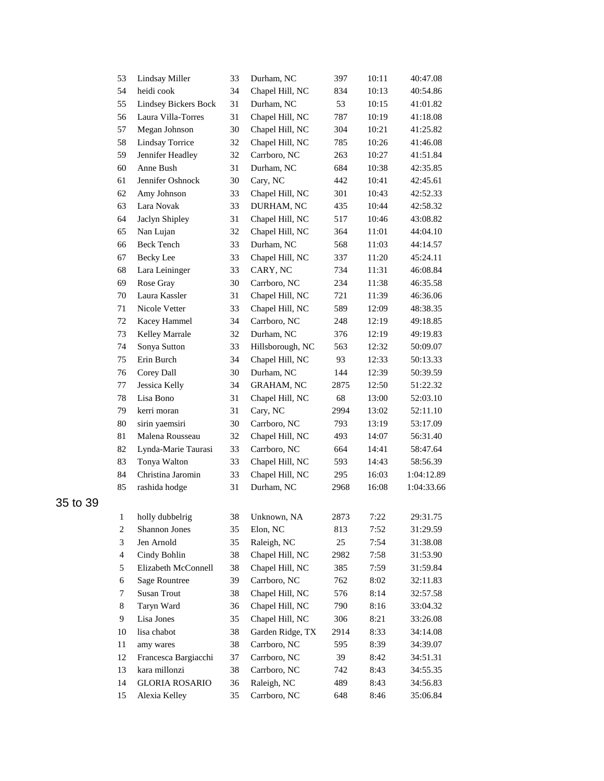| 53                       | Lindsay Miller              | 33 | Durham, NC        | 397  | 10:11 | 40:47.08   |
|--------------------------|-----------------------------|----|-------------------|------|-------|------------|
| 54                       | heidi cook                  | 34 | Chapel Hill, NC   | 834  | 10:13 | 40:54.86   |
| 55                       | <b>Lindsey Bickers Bock</b> | 31 | Durham, NC        | 53   | 10:15 | 41:01.82   |
| 56                       | Laura Villa-Torres          | 31 | Chapel Hill, NC   | 787  | 10:19 | 41:18.08   |
| 57                       | Megan Johnson               | 30 | Chapel Hill, NC   | 304  | 10:21 | 41:25.82   |
| 58                       | <b>Lindsay Torrice</b>      | 32 | Chapel Hill, NC   | 785  | 10:26 | 41:46.08   |
| 59                       | Jennifer Headley            | 32 | Carrboro, NC      | 263  | 10:27 | 41:51.84   |
| 60                       | Anne Bush                   | 31 | Durham, NC        | 684  | 10:38 | 42:35.85   |
| 61                       | Jennifer Oshnock            | 30 | Cary, NC          | 442  | 10:41 | 42:45.61   |
| 62                       | Amy Johnson                 | 33 | Chapel Hill, NC   | 301  | 10:43 | 42:52.33   |
| 63                       | Lara Novak                  | 33 | DURHAM, NC        | 435  | 10:44 | 42:58.32   |
| 64                       | Jaclyn Shipley              | 31 | Chapel Hill, NC   | 517  | 10:46 | 43:08.82   |
| 65                       | Nan Lujan                   | 32 | Chapel Hill, NC   | 364  | 11:01 | 44:04.10   |
| 66                       | <b>Beck Tench</b>           | 33 | Durham, NC        | 568  | 11:03 | 44:14.57   |
| 67                       | <b>Becky</b> Lee            | 33 | Chapel Hill, NC   | 337  | 11:20 | 45:24.11   |
| 68                       | Lara Leininger              | 33 | CARY, NC          | 734  | 11:31 | 46:08.84   |
| 69                       | Rose Gray                   | 30 | Carrboro, NC      | 234  | 11:38 | 46:35.58   |
| 70                       | Laura Kassler               | 31 | Chapel Hill, NC   | 721  | 11:39 | 46:36.06   |
| 71                       | Nicole Vetter               | 33 | Chapel Hill, NC   | 589  | 12:09 | 48:38.35   |
| 72                       | Kacey Hammel                | 34 | Carrboro, NC      | 248  | 12:19 | 49:18.85   |
| 73                       | Kelley Marrale              | 32 | Durham, NC        | 376  | 12:19 | 49:19.83   |
| 74                       | Sonya Sutton                | 33 | Hillsborough, NC  | 563  | 12:32 | 50:09.07   |
| 75                       | Erin Burch                  | 34 | Chapel Hill, NC   | 93   | 12:33 | 50:13.33   |
| 76                       | Corey Dall                  | 30 | Durham, NC        | 144  | 12:39 | 50:39.59   |
| 77                       | Jessica Kelly               | 34 | <b>GRAHAM, NC</b> | 2875 | 12:50 | 51:22.32   |
| 78                       | Lisa Bono                   | 31 | Chapel Hill, NC   | 68   | 13:00 | 52:03.10   |
| 79                       | kerri moran                 | 31 | Cary, NC          | 2994 | 13:02 | 52:11.10   |
| 80                       | sirin yaemsiri              | 30 | Carrboro, NC      | 793  | 13:19 | 53:17.09   |
| 81                       | Malena Rousseau             | 32 | Chapel Hill, NC   | 493  | 14:07 | 56:31.40   |
| 82                       | Lynda-Marie Taurasi         | 33 | Carrboro, NC      | 664  | 14:41 | 58:47.64   |
| 83                       | Tonya Walton                | 33 | Chapel Hill, NC   | 593  | 14:43 | 58:56.39   |
| 84                       | Christina Jaromin           | 33 | Chapel Hill, NC   | 295  | 16:03 | 1:04:12.89 |
| 85                       | rashida hodge               | 31 | Durham, NC        | 2968 | 16:08 | 1:04:33.66 |
|                          |                             |    |                   |      |       |            |
| 1                        | holly dubbelrig             | 38 | Unknown, NA       | 2873 | 7:22  | 29:31.75   |
| $\boldsymbol{2}$         | Shannon Jones               | 35 | Elon, NC          | 813  | 7:52  | 31:29.59   |
| $\sqrt{3}$               | Jen Arnold                  | 35 | Raleigh, NC       | 25   | 7:54  | 31:38.08   |
| $\overline{\mathcal{A}}$ | Cindy Bohlin                | 38 | Chapel Hill, NC   | 2982 | 7:58  | 31:53.90   |
| 5                        | Elizabeth McConnell         | 38 | Chapel Hill, NC   | 385  | 7:59  | 31:59.84   |
| 6                        | <b>Sage Rountree</b>        | 39 | Carrboro, NC      | 762  | 8:02  | 32:11.83   |
| 7                        | <b>Susan Trout</b>          | 38 | Chapel Hill, NC   | 576  | 8:14  | 32:57.58   |
| 8                        | Taryn Ward                  | 36 | Chapel Hill, NC   | 790  | 8:16  | 33:04.32   |
| 9                        | Lisa Jones                  | 35 | Chapel Hill, NC   | 306  | 8:21  | 33:26.08   |
| 10                       | lisa chabot                 | 38 | Garden Ridge, TX  | 2914 | 8:33  | 34:14.08   |
| 11                       | amy wares                   | 38 | Carrboro, NC      | 595  | 8:39  | 34:39.07   |
| 12                       | Francesca Bargiacchi        | 37 | Carrboro, NC      | 39   | 8:42  | 34:51.31   |
| 13                       | kara millonzi               | 38 | Carrboro, NC      | 742  | 8:43  | 34:55.35   |
| 14                       | <b>GLORIA ROSARIO</b>       | 36 | Raleigh, NC       | 489  | 8:43  | 34:56.83   |
| 15                       | Alexia Kelley               | 35 | Carrboro, NC      | 648  | 8:46  | 35:06.84   |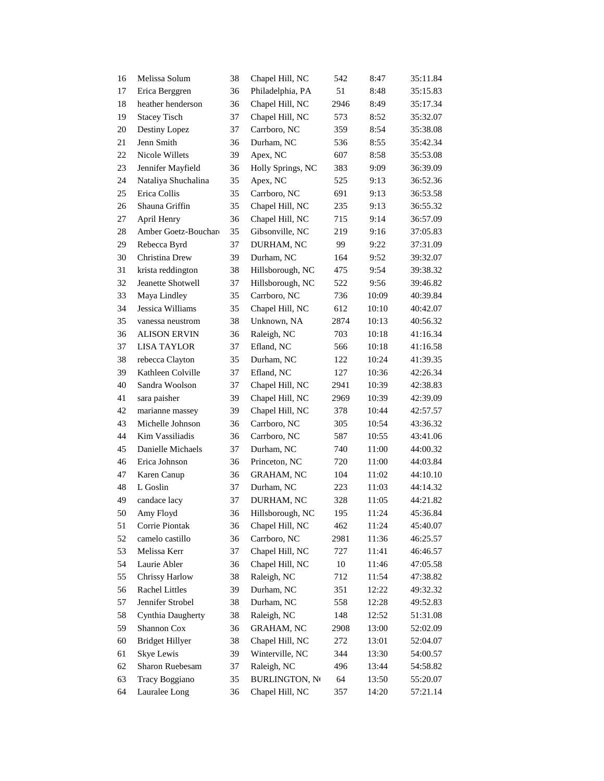| 16 | Melissa Solum          | 38 | Chapel Hill, NC       | 542    | 8:47  | 35:11.84 |
|----|------------------------|----|-----------------------|--------|-------|----------|
| 17 | Erica Berggren         | 36 | Philadelphia, PA      | 51     | 8:48  | 35:15.83 |
| 18 | heather henderson      | 36 | Chapel Hill, NC       | 2946   | 8:49  | 35:17.34 |
| 19 | <b>Stacey Tisch</b>    | 37 | Chapel Hill, NC       | 573    | 8:52  | 35:32.07 |
| 20 | Destiny Lopez          | 37 | Carrboro, NC          | 359    | 8:54  | 35:38.08 |
| 21 | Jenn Smith             | 36 | Durham, NC            | 536    | 8:55  | 35:42.34 |
| 22 | Nicole Willets         | 39 | Apex, NC              | 607    | 8:58  | 35:53.08 |
| 23 | Jennifer Mayfield      | 36 | Holly Springs, NC     | 383    | 9:09  | 36:39.09 |
| 24 | Nataliya Shuchalina    | 35 | Apex, NC              | 525    | 9:13  | 36:52.36 |
| 25 | Erica Collis           | 35 | Carrboro, NC          | 691    | 9:13  | 36:53.58 |
| 26 | Shauna Griffin         | 35 | Chapel Hill, NC       | 235    | 9:13  | 36:55.32 |
| 27 | April Henry            | 36 | Chapel Hill, NC       | 715    | 9:14  | 36:57.09 |
| 28 | Amber Goetz-Bouchard   | 35 | Gibsonville, NC       | 219    | 9:16  | 37:05.83 |
| 29 | Rebecca Byrd           | 37 | DURHAM, NC            | 99     | 9:22  | 37:31.09 |
| 30 | Christina Drew         | 39 | Durham, NC            | 164    | 9:52  | 39:32.07 |
| 31 | krista reddington      | 38 | Hillsborough, NC      | 475    | 9:54  | 39:38.32 |
| 32 | Jeanette Shotwell      | 37 | Hillsborough, NC      | 522    | 9:56  | 39:46.82 |
| 33 | Maya Lindley           | 35 | Carrboro, NC          | 736    | 10:09 | 40:39.84 |
| 34 | Jessica Williams       | 35 | Chapel Hill, NC       | 612    | 10:10 | 40:42.07 |
| 35 | vanessa neustrom       | 38 | Unknown, NA           | 2874   | 10:13 | 40:56.32 |
| 36 | <b>ALISON ERVIN</b>    | 36 | Raleigh, NC           | 703    | 10:18 | 41:16.34 |
| 37 | <b>LISA TAYLOR</b>     | 37 | Efland, NC            | 566    | 10:18 | 41:16.58 |
| 38 | rebecca Clayton        | 35 | Durham, NC            | 122    | 10:24 | 41:39.35 |
| 39 | Kathleen Colville      | 37 | Efland, NC            | 127    | 10:36 | 42:26.34 |
| 40 | Sandra Woolson         | 37 | Chapel Hill, NC       | 2941   | 10:39 | 42:38.83 |
| 41 | sara paisher           | 39 | Chapel Hill, NC       | 2969   | 10:39 | 42:39.09 |
| 42 | marianne massey        | 39 | Chapel Hill, NC       | 378    | 10:44 | 42:57.57 |
| 43 | Michelle Johnson       | 36 | Carrboro, NC          | 305    | 10:54 | 43:36.32 |
| 44 | Kim Vassiliadis        | 36 | Carrboro, NC          | 587    | 10:55 | 43:41.06 |
| 45 | Danielle Michaels      | 37 | Durham, NC            | 740    | 11:00 | 44:00.32 |
| 46 | Erica Johnson          | 36 | Princeton, NC         | 720    | 11:00 | 44:03.84 |
| 47 | Karen Canup            | 36 | <b>GRAHAM, NC</b>     | 104    | 11:02 | 44:10.10 |
| 48 | L Goslin               | 37 | Durham, NC            | 223    | 11:03 | 44:14.32 |
| 49 | candace lacy           | 37 | DURHAM, NC            | 328    | 11:05 | 44:21.82 |
| 50 | Amy Floyd              | 36 | Hillsborough, NC      | 195    | 11:24 | 45:36.84 |
| 51 | Corrie Piontak         | 36 | Chapel Hill, NC       | 462    | 11:24 | 45:40.07 |
| 52 | camelo castillo        | 36 | Carrboro, NC          | 2981   | 11:36 | 46:25.57 |
| 53 | Melissa Kerr           | 37 | Chapel Hill, NC       | 727    | 11:41 | 46:46.57 |
| 54 | Laurie Abler           | 36 | Chapel Hill, NC       | $10\,$ | 11:46 | 47:05.58 |
| 55 | Chrissy Harlow         | 38 | Raleigh, NC           | 712    | 11:54 | 47:38.82 |
| 56 | <b>Rachel Littles</b>  | 39 | Durham, NC            | 351    | 12:22 | 49:32.32 |
| 57 | Jennifer Strobel       | 38 | Durham, NC            | 558    | 12:28 | 49:52.83 |
| 58 | Cynthia Daugherty      | 38 | Raleigh, NC           | 148    | 12:52 | 51:31.08 |
| 59 | Shannon Cox            | 36 | <b>GRAHAM, NC</b>     | 2908   | 13:00 | 52:02.09 |
| 60 | <b>Bridget Hillyer</b> | 38 | Chapel Hill, NC       | 272    | 13:01 | 52:04.07 |
| 61 | Skye Lewis             | 39 | Winterville, NC       | 344    | 13:30 | 54:00.57 |
| 62 | Sharon Ruebesam        | 37 | Raleigh, NC           | 496    | 13:44 | 54:58.82 |
| 63 | Tracy Boggiano         | 35 | <b>BURLINGTON, NO</b> | 64     | 13:50 | 55:20.07 |
| 64 | Lauralee Long          | 36 | Chapel Hill, NC       | 357    | 14:20 | 57:21.14 |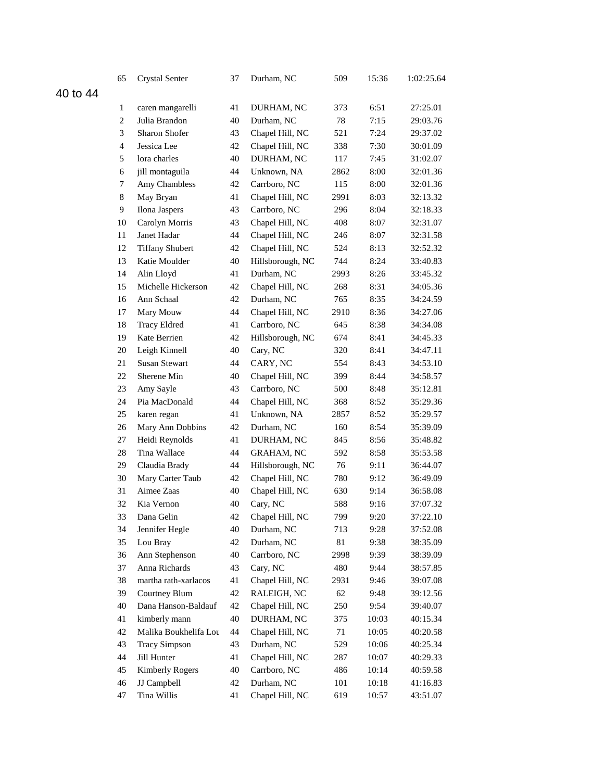|          | 65               | <b>Crystal Senter</b>  | 37 | Durham, NC                      | 509  | 15:36 | 1:02:25.64 |
|----------|------------------|------------------------|----|---------------------------------|------|-------|------------|
| 40 to 44 |                  |                        |    |                                 |      |       |            |
|          | 1                | caren mangarelli       | 41 | DURHAM, NC                      | 373  | 6:51  | 27:25.01   |
|          | $\boldsymbol{2}$ | Julia Brandon          | 40 | Durham, NC                      | 78   | 7:15  | 29:03.76   |
|          | 3                | Sharon Shofer          | 43 | Chapel Hill, NC                 | 521  | 7:24  | 29:37.02   |
|          | $\overline{4}$   | Jessica Lee            | 42 | Chapel Hill, NC                 | 338  | 7:30  | 30:01.09   |
|          | 5                | lora charles           | 40 | DURHAM, NC                      | 117  | 7:45  | 31:02.07   |
|          | 6                | jill montaguila        | 44 | Unknown, NA                     | 2862 | 8:00  | 32:01.36   |
|          | 7                | Amy Chambless          | 42 | Carrboro, NC                    | 115  | 8:00  | 32:01.36   |
|          | 8                | May Bryan              | 41 | Chapel Hill, NC                 | 2991 | 8:03  | 32:13.32   |
|          | 9                | Ilona Jaspers          | 43 | Carrboro, NC                    | 296  | 8:04  | 32:18.33   |
|          | 10               | Carolyn Morris         | 43 | Chapel Hill, NC                 | 408  | 8:07  | 32:31.07   |
|          | 11               | Janet Hadar            | 44 | Chapel Hill, NC                 | 246  | 8:07  | 32:31.58   |
|          | 12               | <b>Tiffany Shubert</b> | 42 | Chapel Hill, NC                 | 524  | 8:13  | 32:52.32   |
|          | 13               | Katie Moulder          | 40 | Hillsborough, NC                | 744  | 8:24  | 33:40.83   |
|          | 14               | Alin Lloyd             | 41 | Durham, NC                      | 2993 | 8:26  | 33:45.32   |
|          | 15               | Michelle Hickerson     | 42 | Chapel Hill, NC                 | 268  | 8:31  | 34:05.36   |
|          | 16               | Ann Schaal             | 42 | Durham, NC                      | 765  | 8:35  | 34:24.59   |
|          | 17               | Mary Mouw              | 44 | Chapel Hill, NC                 | 2910 | 8:36  | 34:27.06   |
|          | 18               | <b>Tracy Eldred</b>    | 41 | Carrboro, NC                    | 645  | 8:38  | 34:34.08   |
|          | 19               | Kate Berrien           | 42 | Hillsborough, NC                | 674  | 8:41  | 34:45.33   |
|          | 20               | Leigh Kinnell          | 40 | Cary, NC                        | 320  | 8:41  | 34:47.11   |
|          | 21               | Susan Stewart          | 44 | CARY, NC                        | 554  | 8:43  | 34:53.10   |
|          | 22               | Sherene Min            | 40 | Chapel Hill, NC                 | 399  | 8:44  | 34:58.57   |
|          | 23               | Amy Sayle              | 43 | Carrboro, NC                    | 500  | 8:48  | 35:12.81   |
|          | 24               | Pia MacDonald          | 44 | Chapel Hill, NC                 | 368  | 8:52  | 35:29.36   |
|          | 25               | karen regan            | 41 | Unknown, NA                     | 2857 | 8:52  | 35:29.57   |
|          | 26               | Mary Ann Dobbins       | 42 | Durham, NC                      | 160  | 8:54  | 35:39.09   |
|          | 27               | Heidi Reynolds         | 41 | DURHAM, NC                      | 845  | 8:56  | 35:48.82   |
|          | 28               | Tina Wallace           | 44 | <b>GRAHAM, NC</b>               | 592  | 8:58  | 35:53.58   |
|          | 29               | Claudia Brady          | 44 | Hillsborough, NC                | 76   | 9:11  | 36:44.07   |
|          | 30               | Mary Carter Taub       | 42 | Chapel Hill, NC                 | 780  | 9:12  | 36:49.09   |
|          | 31               | Aimee Zaas             | 40 | Chapel Hill, NC                 | 630  | 9:14  | 36:58.08   |
|          | 32               | Kia Vernon             | 40 | Cary, NC                        | 588  | 9:16  | 37:07.32   |
|          | 33               | Dana Gelin             | 42 | Chapel Hill, NC                 | 799  | 9:20  | 37:22.10   |
|          | 34               | Jennifer Hegle         | 40 | Durham, NC                      | 713  | 9:28  | 37:52.08   |
|          | 35               | Lou Bray               | 42 | Durham, NC                      | 81   | 9:38  | 38:35.09   |
|          | 36               | Ann Stephenson         | 40 | Carrboro, NC                    | 2998 | 9:39  | 38:39.09   |
|          | 37               | Anna Richards          | 43 | Cary, NC                        | 480  | 9:44  | 38:57.85   |
|          | 38               | martha rath-xarlacos   | 41 | Chapel Hill, NC                 | 2931 | 9:46  | 39:07.08   |
|          | 39               | Courtney Blum          | 42 | RALEIGH, NC                     | 62   | 9:48  | 39:12.56   |
|          | 40               | Dana Hanson-Baldauf    | 42 | Chapel Hill, NC                 | 250  | 9:54  | 39:40.07   |
|          | 41               | kimberly mann          | 40 | DURHAM, NC                      | 375  | 10:03 | 40:15.34   |
|          | 42               | Malika Boukhelifa Lou  | 44 | Chapel Hill, NC                 | 71   | 10:05 | 40:20.58   |
|          | 43               | <b>Tracy Simpson</b>   | 43 | Durham, NC                      | 529  | 10:06 | 40:25.34   |
|          | 44               | Jill Hunter            | 41 | Chapel Hill, NC<br>Carrboro, NC | 287  | 10:07 | 40:29.33   |
|          | 45               | <b>Kimberly Rogers</b> | 40 |                                 | 486  | 10:14 | 40:59.58   |
|          | 46               | JJ Campbell            | 42 | Durham, NC                      | 101  | 10:18 | 41:16.83   |
|          | 47               | Tina Willis            | 41 | Chapel Hill, NC                 | 619  | 10:57 | 43:51.07   |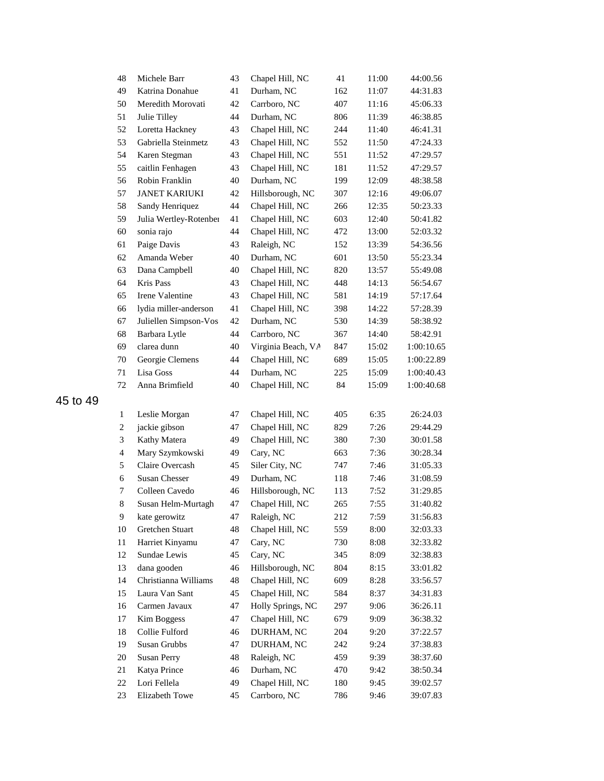| 48             | Michele Barr           | 43 | Chapel Hill, NC    | 41  | 11:00 | 44:00.56   |
|----------------|------------------------|----|--------------------|-----|-------|------------|
| 49             | Katrina Donahue        | 41 | Durham, NC         | 162 | 11:07 | 44:31.83   |
| 50             | Meredith Morovati      | 42 | Carrboro, NC       | 407 | 11:16 | 45:06.33   |
| 51             | Julie Tilley           | 44 | Durham, NC         | 806 | 11:39 | 46:38.85   |
| 52             | Loretta Hackney        | 43 | Chapel Hill, NC    | 244 | 11:40 | 46:41.31   |
| 53             | Gabriella Steinmetz    | 43 | Chapel Hill, NC    | 552 | 11:50 | 47:24.33   |
| 54             | Karen Stegman          | 43 | Chapel Hill, NC    | 551 | 11:52 | 47:29.57   |
| 55             | caitlin Fenhagen       | 43 | Chapel Hill, NC    | 181 | 11:52 | 47:29.57   |
| 56             | Robin Franklin         | 40 | Durham, NC         | 199 | 12:09 | 48:38.58   |
| 57             | <b>JANET KARIUKI</b>   | 42 | Hillsborough, NC   | 307 | 12:16 | 49:06.07   |
| 58             | Sandy Henriquez        | 44 | Chapel Hill, NC    | 266 | 12:35 | 50:23.33   |
| 59             | Julia Wertley-Rotenber | 41 | Chapel Hill, NC    | 603 | 12:40 | 50:41.82   |
| 60             | sonia rajo             | 44 | Chapel Hill, NC    | 472 | 13:00 | 52:03.32   |
| 61             | Paige Davis            | 43 | Raleigh, NC        | 152 | 13:39 | 54:36.56   |
| 62             | Amanda Weber           | 40 | Durham, NC         | 601 | 13:50 | 55:23.34   |
| 63             | Dana Campbell          | 40 | Chapel Hill, NC    | 820 | 13:57 | 55:49.08   |
| 64             | Kris Pass              | 43 | Chapel Hill, NC    | 448 | 14:13 | 56:54.67   |
| 65             | Irene Valentine        | 43 | Chapel Hill, NC    | 581 | 14:19 | 57:17.64   |
| 66             | lydia miller-anderson  | 41 | Chapel Hill, NC    | 398 | 14:22 | 57:28.39   |
| 67             | Juliellen Simpson-Vos  | 42 | Durham, NC         | 530 | 14:39 | 58:38.92   |
| 68             | Barbara Lytle          | 44 | Carrboro, NC       | 367 | 14:40 | 58:42.91   |
| 69             | clarea dunn            | 40 | Virginia Beach, VA | 847 | 15:02 | 1:00:10.65 |
| 70             | Georgie Clemens        | 44 | Chapel Hill, NC    | 689 | 15:05 | 1:00:22.89 |
| 71             | Lisa Goss              | 44 | Durham, NC         | 225 | 15:09 | 1:00:40.43 |
| $72\,$         | Anna Brimfield         | 40 | Chapel Hill, NC    | 84  | 15:09 | 1:00:40.68 |
| $\mathbf{1}$   | Leslie Morgan          | 47 | Chapel Hill, NC    | 405 | 6:35  | 26:24.03   |
| $\sqrt{2}$     | jackie gibson          | 47 | Chapel Hill, NC    | 829 | 7:26  | 29:44.29   |
| 3              | Kathy Matera           | 49 | Chapel Hill, NC    | 380 | 7:30  | 30:01.58   |
| $\overline{4}$ | Mary Szymkowski        | 49 | Cary, NC           | 663 | 7:36  | 30:28.34   |
| 5              | Claire Overcash        | 45 | Siler City, NC     | 747 | 7:46  | 31:05.33   |
| 6              | <b>Susan Chesser</b>   | 49 | Durham, NC         | 118 | 7:46  | 31:08.59   |
| 7              | Colleen Cavedo         | 46 | Hillsborough, NC   | 113 | 7:52  | 31:29.85   |
| $\,$ 8 $\,$    | Susan Helm-Murtagh     | 47 | Chapel Hill, NC    | 265 | 7:55  | 31:40.82   |
| 9              | kate gerowitz          | 47 | Raleigh, NC        | 212 | 7:59  | 31:56.83   |
| 10             | Gretchen Stuart        | 48 | Chapel Hill, NC    | 559 | 8:00  | 32:03.33   |
| 11             | Harriet Kinyamu        | 47 | Cary, NC           | 730 | 8:08  | 32:33.82   |
| 12             | Sundae Lewis           | 45 | Cary, NC           | 345 | 8:09  | 32:38.83   |
| 13             | dana gooden            | 46 | Hillsborough, NC   | 804 | 8:15  | 33:01.82   |
| 14             | Christianna Williams   | 48 | Chapel Hill, NC    | 609 | 8:28  | 33:56.57   |
| 15             | Laura Van Sant         | 45 | Chapel Hill, NC    | 584 | 8:37  | 34:31.83   |
| 16             | Carmen Javaux          | 47 | Holly Springs, NC  | 297 | 9:06  | 36:26.11   |
| 17             | Kim Boggess            | 47 | Chapel Hill, NC    | 679 | 9:09  | 36:38.32   |
| 18             | Collie Fulford         | 46 | DURHAM, NC         | 204 | 9:20  | 37:22.57   |
| 19             | Susan Grubbs           | 47 | DURHAM, NC         | 242 | 9:24  | 37:38.83   |
| $20\,$         | <b>Susan Perry</b>     | 48 | Raleigh, NC        | 459 | 9:39  | 38:37.60   |
| 21             | Katya Prince           | 46 | Durham, NC         | 470 | 9:42  | 38:50.34   |
| 22             | Lori Fellela           | 49 | Chapel Hill, NC    | 180 | 9:45  | 39:02.57   |
| 23             | Elizabeth Towe         | 45 | Carrboro, NC       | 786 | 9:46  | 39:07.83   |
|                |                        |    |                    |     |       |            |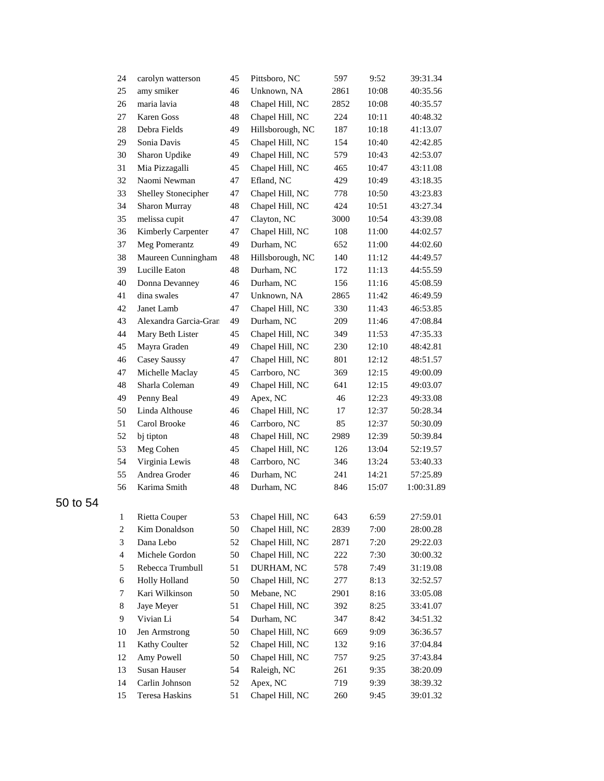| 24               | carolyn watterson     | 45 | Pittsboro, NC    | 597  | 9:52  | 39:31.34   |
|------------------|-----------------------|----|------------------|------|-------|------------|
| 25               | amy smiker            | 46 | Unknown, NA      | 2861 | 10:08 | 40:35.56   |
| 26               | maria lavia           | 48 | Chapel Hill, NC  | 2852 | 10:08 | 40:35.57   |
| 27               | Karen Goss            | 48 | Chapel Hill, NC  | 224  | 10:11 | 40:48.32   |
| 28               | Debra Fields          | 49 | Hillsborough, NC | 187  | 10:18 | 41:13.07   |
| 29               | Sonia Davis           | 45 | Chapel Hill, NC  | 154  | 10:40 | 42:42.85   |
| 30               | Sharon Updike         | 49 | Chapel Hill, NC  | 579  | 10:43 | 42:53.07   |
| 31               | Mia Pizzagalli        | 45 | Chapel Hill, NC  | 465  | 10:47 | 43:11.08   |
| 32               | Naomi Newman          | 47 | Efland, NC       | 429  | 10:49 | 43:18.35   |
| 33               | Shelley Stonecipher   | 47 | Chapel Hill, NC  | 778  | 10:50 | 43:23.83   |
| 34               | Sharon Murray         | 48 | Chapel Hill, NC  | 424  | 10:51 | 43:27.34   |
| 35               | melissa cupit         | 47 | Clayton, NC      | 3000 | 10:54 | 43:39.08   |
| 36               | Kimberly Carpenter    | 47 | Chapel Hill, NC  | 108  | 11:00 | 44:02.57   |
| 37               | Meg Pomerantz         | 49 | Durham, NC       | 652  | 11:00 | 44:02.60   |
| 38               | Maureen Cunningham    | 48 | Hillsborough, NC | 140  | 11:12 | 44:49.57   |
| 39               | Lucille Eaton         | 48 | Durham, NC       | 172  | 11:13 | 44:55.59   |
| 40               | Donna Devanney        | 46 | Durham, NC       | 156  | 11:16 | 45:08.59   |
| 41               | dina swales           | 47 | Unknown, NA      | 2865 | 11:42 | 46:49.59   |
| 42               | Janet Lamb            | 47 | Chapel Hill, NC  | 330  | 11:43 | 46:53.85   |
| 43               | Alexandra Garcia-Gran | 49 | Durham, NC       | 209  | 11:46 | 47:08.84   |
| 44               | Mary Beth Lister      | 45 | Chapel Hill, NC  | 349  | 11:53 | 47:35.33   |
| 45               | Mayra Graden          | 49 | Chapel Hill, NC  | 230  | 12:10 | 48:42.81   |
| 46               | Casey Saussy          | 47 | Chapel Hill, NC  | 801  | 12:12 | 48:51.57   |
| 47               | Michelle Maclay       | 45 | Carrboro, NC     | 369  | 12:15 | 49:00.09   |
| 48               | Sharla Coleman        | 49 | Chapel Hill, NC  | 641  | 12:15 | 49:03.07   |
| 49               | Penny Beal            | 49 | Apex, NC         | 46   | 12:23 | 49:33.08   |
| 50               | Linda Althouse        | 46 | Chapel Hill, NC  | 17   | 12:37 | 50:28.34   |
| 51               | Carol Brooke          | 46 | Carrboro, NC     | 85   | 12:37 | 50:30.09   |
| 52               | bj tipton             | 48 | Chapel Hill, NC  | 2989 | 12:39 | 50:39.84   |
| 53               | Meg Cohen             | 45 | Chapel Hill, NC  | 126  | 13:04 | 52:19.57   |
| 54               | Virginia Lewis        | 48 | Carrboro, NC     | 346  | 13:24 | 53:40.33   |
| 55               | Andrea Groder         | 46 | Durham, NC       | 241  | 14:21 | 57:25.89   |
| 56               | Karima Smith          | 48 | Durham, NC       | 846  | 15:07 | 1:00:31.89 |
| 1                | Rietta Couper         | 53 | Chapel Hill, NC  | 643  | 6:59  | 27:59.01   |
| $\boldsymbol{2}$ | Kim Donaldson         | 50 | Chapel Hill, NC  | 2839 | 7:00  | 28:00.28   |
| 3                | Dana Lebo             | 52 | Chapel Hill, NC  | 2871 | 7:20  | 29:22.03   |
| $\overline{4}$   | Michele Gordon        | 50 | Chapel Hill, NC  | 222  | 7:30  | 30:00.32   |
| 5                | Rebecca Trumbull      | 51 | DURHAM, NC       | 578  | 7:49  | 31:19.08   |
| 6                | Holly Holland         | 50 | Chapel Hill, NC  | 277  | 8:13  | 32:52.57   |
| 7                | Kari Wilkinson        | 50 | Mebane, NC       | 2901 | 8:16  | 33:05.08   |
| $8\,$            | Jaye Meyer            | 51 | Chapel Hill, NC  | 392  | 8:25  | 33:41.07   |
| 9                | Vivian Li             | 54 | Durham, NC       | 347  | 8:42  | 34:51.32   |
| 10               | Jen Armstrong         | 50 | Chapel Hill, NC  | 669  | 9:09  | 36:36.57   |
| 11               | Kathy Coulter         | 52 | Chapel Hill, NC  | 132  | 9:16  | 37:04.84   |
| 12               | Amy Powell            | 50 | Chapel Hill, NC  | 757  | 9:25  | 37:43.84   |
| 13               | Susan Hauser          | 54 | Raleigh, NC      | 261  | 9:35  | 38:20.09   |
| 14               | Carlin Johnson        | 52 | Apex, NC         | 719  | 9:39  | 38:39.32   |
| 15               | Teresa Haskins        | 51 | Chapel Hill, NC  | 260  | 9:45  | 39:01.32   |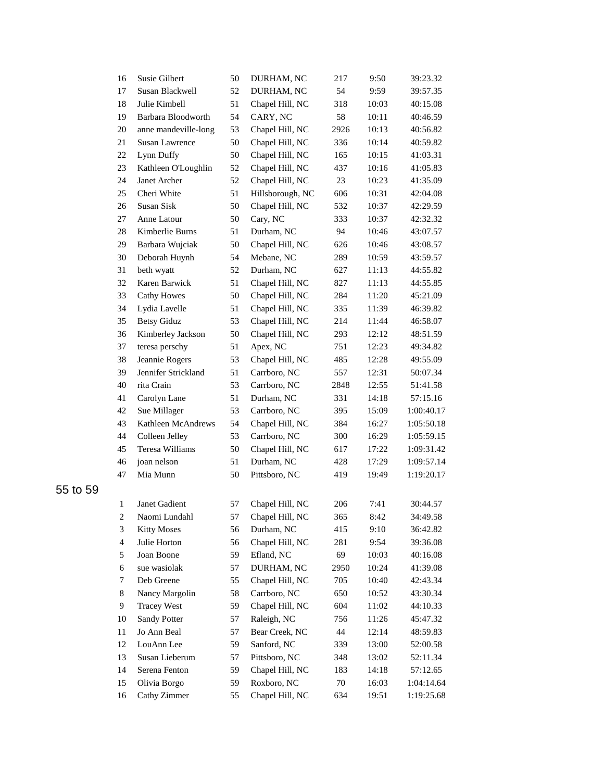| 16             | Susie Gilbert         | 50 | DURHAM, NC       | 217  | 9:50  | 39:23.32   |
|----------------|-----------------------|----|------------------|------|-------|------------|
| 17             | Susan Blackwell       | 52 | DURHAM, NC       | 54   | 9:59  | 39:57.35   |
| 18             | Julie Kimbell         | 51 | Chapel Hill, NC  | 318  | 10:03 | 40:15.08   |
| 19             | Barbara Bloodworth    | 54 | CARY, NC         | 58   | 10:11 | 40:46.59   |
| $20\,$         | anne mandeville-long  | 53 | Chapel Hill, NC  | 2926 | 10:13 | 40:56.82   |
| 21             | <b>Susan Lawrence</b> | 50 | Chapel Hill, NC  | 336  | 10:14 | 40:59.82   |
| 22             | Lynn Duffy            | 50 | Chapel Hill, NC  | 165  | 10:15 | 41:03.31   |
| 23             | Kathleen O'Loughlin   | 52 | Chapel Hill, NC  | 437  | 10:16 | 41:05.83   |
| 24             | Janet Archer          | 52 | Chapel Hill, NC  | 23   | 10:23 | 41:35.09   |
| 25             | Cheri White           | 51 | Hillsborough, NC | 606  | 10:31 | 42:04.08   |
| 26             | Susan Sisk            | 50 | Chapel Hill, NC  | 532  | 10:37 | 42:29.59   |
| 27             | Anne Latour           | 50 | Cary, NC         | 333  | 10:37 | 42:32.32   |
| 28             | Kimberlie Burns       | 51 | Durham, NC       | 94   | 10:46 | 43:07.57   |
| 29             | Barbara Wujciak       | 50 | Chapel Hill, NC  | 626  | 10:46 | 43:08.57   |
| 30             | Deborah Huynh         | 54 | Mebane, NC       | 289  | 10:59 | 43:59.57   |
| 31             | beth wyatt            | 52 | Durham, NC       | 627  | 11:13 | 44:55.82   |
| 32             | Karen Barwick         | 51 | Chapel Hill, NC  | 827  | 11:13 | 44:55.85   |
| 33             | <b>Cathy Howes</b>    | 50 | Chapel Hill, NC  | 284  | 11:20 | 45:21.09   |
| 34             | Lydia Lavelle         | 51 | Chapel Hill, NC  | 335  | 11:39 | 46:39.82   |
| 35             | <b>Betsy Giduz</b>    | 53 | Chapel Hill, NC  | 214  | 11:44 | 46:58.07   |
| 36             | Kimberley Jackson     | 50 | Chapel Hill, NC  | 293  | 12:12 | 48:51.59   |
| 37             | teresa perschy        | 51 | Apex, NC         | 751  | 12:23 | 49:34.82   |
| 38             | Jeannie Rogers        | 53 | Chapel Hill, NC  | 485  | 12:28 | 49:55.09   |
| 39             | Jennifer Strickland   | 51 | Carrboro, NC     | 557  | 12:31 | 50:07.34   |
| 40             | rita Crain            | 53 | Carrboro, NC     | 2848 | 12:55 | 51:41.58   |
| 41             | Carolyn Lane          | 51 | Durham, NC       | 331  | 14:18 | 57:15.16   |
| 42             | Sue Millager          | 53 | Carrboro, NC     | 395  | 15:09 | 1:00:40.17 |
| 43             | Kathleen McAndrews    | 54 | Chapel Hill, NC  | 384  | 16:27 | 1:05:50.18 |
| 44             | Colleen Jelley        | 53 | Carrboro, NC     | 300  | 16:29 | 1:05:59.15 |
| 45             | Teresa Williams       | 50 | Chapel Hill, NC  | 617  | 17:22 | 1:09:31.42 |
| 46             | joan nelson           | 51 | Durham, NC       | 428  | 17:29 | 1:09:57.14 |
| 47             | Mia Munn              | 50 | Pittsboro, NC    | 419  | 19:49 | 1:19:20.17 |
| $\mathbf{1}$   | Janet Gadient         | 57 | Chapel Hill, NC  | 206  | 7:41  | 30:44.57   |
| $\overline{c}$ | Naomi Lundahl         | 57 | Chapel Hill, NC  | 365  | 8:42  | 34:49.58   |
| 3              | <b>Kitty Moses</b>    | 56 | Durham, NC       | 415  | 9:10  | 36:42.82   |
| $\overline{4}$ | Julie Horton          | 56 | Chapel Hill, NC  | 281  | 9:54  | 39:36.08   |
| 5              | Joan Boone            | 59 | Efland, NC       | 69   | 10:03 | 40:16.08   |
| 6              | sue wasiolak          | 57 | DURHAM, NC       | 2950 | 10:24 | 41:39.08   |
| 7              | Deb Greene            | 55 | Chapel Hill, NC  | 705  | 10:40 | 42:43.34   |
| $8\,$          | Nancy Margolin        | 58 | Carrboro, NC     | 650  | 10:52 | 43:30.34   |
| 9              | <b>Tracey West</b>    | 59 | Chapel Hill, NC  | 604  | 11:02 | 44:10.33   |
| 10             | Sandy Potter          | 57 | Raleigh, NC      | 756  | 11:26 | 45:47.32   |
| 11             | Jo Ann Beal           | 57 | Bear Creek, NC   | 44   | 12:14 | 48:59.83   |
| 12             | LouAnn Lee            | 59 | Sanford, NC      | 339  | 13:00 | 52:00.58   |
| 13             | Susan Lieberum        | 57 | Pittsboro, NC    | 348  | 13:02 | 52:11.34   |
| 14             | Serena Fenton         | 59 | Chapel Hill, NC  | 183  | 14:18 | 57:12.65   |
| 15             | Olivia Borgo          | 59 | Roxboro, NC      | 70   | 16:03 | 1:04:14.64 |
| 16             | Cathy Zimmer          | 55 | Chapel Hill, NC  | 634  | 19:51 | 1:19:25.68 |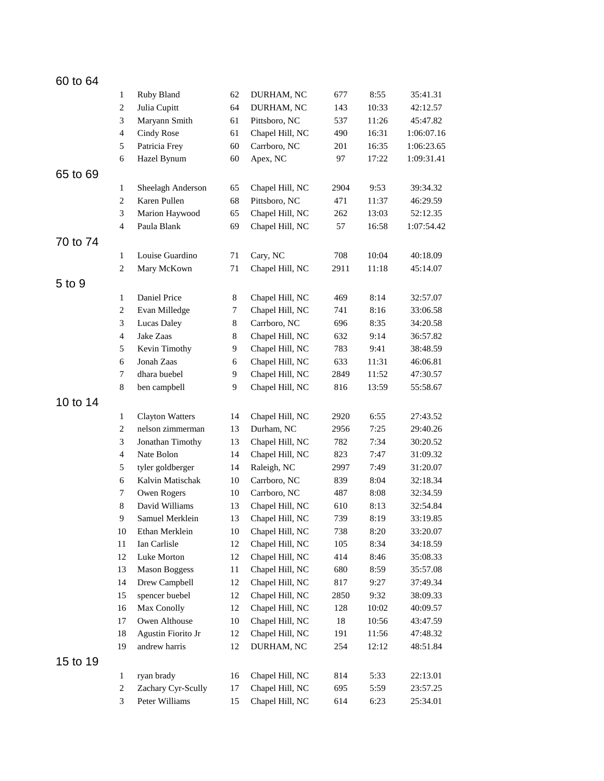| 60 to 64 |                |                        |          |                                    |             |                |                      |  |
|----------|----------------|------------------------|----------|------------------------------------|-------------|----------------|----------------------|--|
|          | $\mathbf{1}$   | Ruby Bland             | 62       | DURHAM, NC                         | 677         | 8:55           | 35:41.31             |  |
|          | 2              | Julia Cupitt           | 64       | DURHAM, NC                         | 143         | 10:33          | 42:12.57             |  |
|          | 3              | Maryann Smith          | 61       | Pittsboro, NC                      | 537         | 11:26          | 45:47.82             |  |
|          | $\overline{4}$ | Cindy Rose             | 61       | Chapel Hill, NC                    | 490         | 16:31          | 1:06:07.16           |  |
|          | 5              | Patricia Frey          | 60       | Carrboro, NC                       | 201         | 16:35          | 1:06:23.65           |  |
|          | 6              | Hazel Bynum            | 60       | Apex, NC                           | 97          | 17:22          | 1:09:31.41           |  |
| 65 to 69 |                |                        |          |                                    |             |                |                      |  |
|          | 1              | Sheelagh Anderson      | 65       | Chapel Hill, NC                    | 2904        | 9:53           | 39:34.32             |  |
|          | $\overline{c}$ | Karen Pullen           | 68       | Pittsboro, NC                      | 471         | 11:37          | 46:29.59             |  |
|          | $\mathfrak{Z}$ | Marion Haywood         | 65       | Chapel Hill, NC                    | 262         | 13:03          | 52:12.35             |  |
|          | $\overline{4}$ | Paula Blank            | 69       | Chapel Hill, NC                    | 57          | 16:58          | 1:07:54.42           |  |
| 70 to 74 |                |                        |          |                                    |             |                |                      |  |
|          | 1              | Louise Guardino        | 71       | Cary, NC                           | 708         | 10:04          | 40:18.09             |  |
|          | $\mathbf{2}$   | Mary McKown            | 71       | Chapel Hill, NC                    | 2911        | 11:18          | 45:14.07             |  |
| 5 to 9   |                |                        |          |                                    |             |                |                      |  |
|          | $\mathbf{1}$   | Daniel Price           | 8        | Chapel Hill, NC                    | 469         | 8:14           | 32:57.07             |  |
|          | $\overline{c}$ | Evan Milledge          | $\tau$   | Chapel Hill, NC                    | 741         | 8:16           | 33:06.58             |  |
|          | 3              | Lucas Daley            | 8        | Carrboro, NC                       | 696         | 8:35           | 34:20.58             |  |
|          | $\overline{4}$ | Jake Zaas              | 8        | Chapel Hill, NC                    | 632         | 9:14           | 36:57.82             |  |
|          | 5              | Kevin Timothy          | 9        | Chapel Hill, NC                    | 783         | 9:41           | 38:48.59             |  |
|          | 6              | Jonah Zaas             | 6        | Chapel Hill, NC                    | 633         | 11:31          | 46:06.81             |  |
|          | $\tau$         | dhara buebel           | 9        | Chapel Hill, NC                    | 2849        | 11:52          | 47:30.57             |  |
|          | $8\,$          | ben campbell           | 9        | Chapel Hill, NC                    | 816         | 13:59          | 55:58.67             |  |
| 10 to 14 |                |                        |          |                                    |             |                |                      |  |
|          | 1              | <b>Clayton Watters</b> | 14       | Chapel Hill, NC                    | 2920        | 6:55           | 27:43.52             |  |
|          | 2              | nelson zimmerman       | 13       |                                    |             | 7:25           |                      |  |
|          | $\mathfrak{Z}$ | Jonathan Timothy       | 13       | Durham, NC<br>Chapel Hill, NC      | 2956<br>782 | 7:34           | 29:40.26<br>30:20.52 |  |
|          | $\overline{4}$ | Nate Bolon             | 14       | Chapel Hill, NC                    | 823         | 7:47           | 31:09.32             |  |
|          | 5              | tyler goldberger       | 14       | Raleigh, NC                        | 2997        | 7:49           | 31:20.07             |  |
|          | 6              | Kalvin Matischak       | 10       | Carrboro, NC                       | 839         | 8:04           | 32:18.34             |  |
|          | $\tau$         | Owen Rogers            | 10       | Carrboro, NC                       | 487         | 8:08           | 32:34.59             |  |
|          | $\,8\,$        | David Williams         | 13       | Chapel Hill, NC                    | 610         | 8:13           | 32:54.84             |  |
|          | 9              | Samuel Merklein        | 13       |                                    | 739         | 8:19           | 33:19.85             |  |
|          | 10             | Ethan Merklein         | $10\,$   | Chapel Hill, NC<br>Chapel Hill, NC | 738         | 8:20           | 33:20.07             |  |
|          | $11\,$         | Ian Carlisle           | 12       | Chapel Hill, NC                    | 105         | 8:34           | 34:18.59             |  |
|          | 12             | Luke Morton            | 12       | Chapel Hill, NC                    | 414         | 8:46           | 35:08.33             |  |
|          | 13             | <b>Mason Boggess</b>   | 11       | Chapel Hill, NC                    | 680         | 8:59           | 35:57.08             |  |
|          | 14             | Drew Campbell          | 12       | Chapel Hill, NC                    | 817         | 9:27           | 37:49.34             |  |
|          | 15             | spencer buebel         | 12       | Chapel Hill, NC                    | 2850        | 9:32           |                      |  |
|          | 16             | Max Conolly            | 12       | Chapel Hill, NC                    | 128         | 10:02          | 38:09.33<br>40:09.57 |  |
|          |                | Owen Althouse          |          | Chapel Hill, NC                    |             |                |                      |  |
|          | 17             | Agustin Fiorito Jr     | 10       | Chapel Hill, NC                    | 18          | 10:56          | 43:47.59             |  |
|          | 18<br>19       | andrew harris          | 12<br>12 | DURHAM, NC                         | 191<br>254  | 11:56<br>12:12 | 47:48.32             |  |
|          |                |                        |          |                                    |             |                | 48:51.84             |  |
| 15 to 19 |                |                        |          |                                    |             |                |                      |  |
|          | $\mathbf{1}$   | ryan brady             | 16       | Chapel Hill, NC                    | 814         | 5:33           | 22:13.01             |  |
|          | $\sqrt{2}$     | Zachary Cyr-Scully     | 17       | Chapel Hill, NC                    | 695         | 5:59           | 23:57.25             |  |
|          | 3              | Peter Williams         | 15       | Chapel Hill, NC                    | 614         | 6:23           | 25:34.01             |  |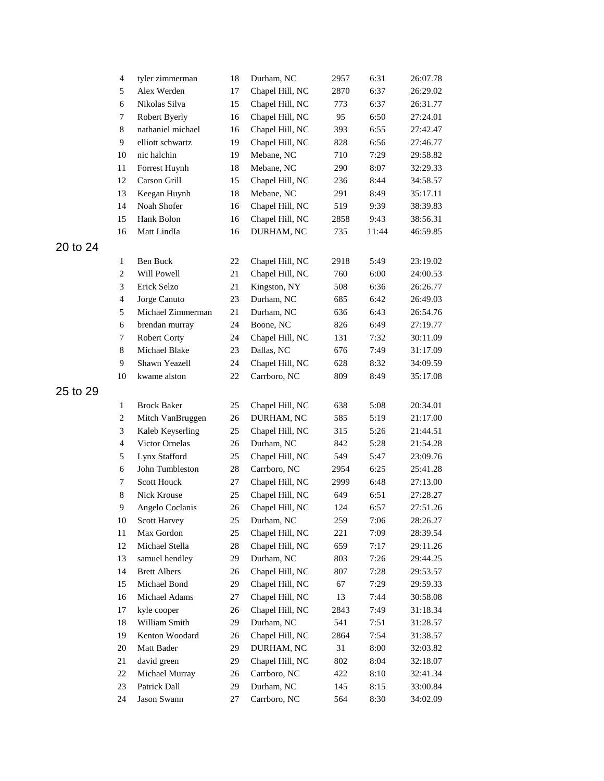|          | $\overline{4}$              | tyler zimmerman                   | 18     | Durham, NC      | 2957 | 6:31  | 26:07.78 |
|----------|-----------------------------|-----------------------------------|--------|-----------------|------|-------|----------|
|          | 5                           | Alex Werden                       | 17     | Chapel Hill, NC | 2870 | 6:37  | 26:29.02 |
|          | 6                           | Nikolas Silva                     | 15     | Chapel Hill, NC | 773  | 6:37  | 26:31.77 |
|          | $\tau$                      | Robert Byerly                     | 16     | Chapel Hill, NC | 95   | 6:50  | 27:24.01 |
|          | $8\,$                       | nathaniel michael                 | 16     | Chapel Hill, NC | 393  | 6:55  | 27:42.47 |
|          | 9                           | elliott schwartz                  | 19     | Chapel Hill, NC | 828  | 6:56  | 27:46.77 |
|          | 10                          | nic halchin                       | 19     | Mebane, NC      | 710  | 7:29  | 29:58.82 |
|          | 11                          | Forrest Huynh                     | 18     | Mebane, NC      | 290  | 8:07  | 32:29.33 |
|          | 12                          | Carson Grill                      | 15     | Chapel Hill, NC | 236  | 8:44  | 34:58.57 |
|          | 13                          | Keegan Huynh                      | 18     | Mebane, NC      | 291  | 8:49  | 35:17.11 |
|          | 14                          | Noah Shofer                       | 16     | Chapel Hill, NC | 519  | 9:39  | 38:39.83 |
|          | 15                          | Hank Bolon                        | 16     | Chapel Hill, NC | 2858 | 9:43  | 38:56.31 |
|          | 16                          | Matt LindIa                       | 16     | DURHAM, NC      | 735  | 11:44 | 46:59.85 |
| 20 to 24 |                             |                                   |        |                 |      |       |          |
|          | 1                           | Ben Buck                          | 22     | Chapel Hill, NC | 2918 | 5:49  | 23:19.02 |
|          | $\boldsymbol{2}$            | Will Powell                       | 21     | Chapel Hill, NC | 760  | 6:00  | 24:00.53 |
|          | 3                           | Erick Selzo                       | 21     | Kingston, NY    | 508  | 6:36  | 26:26.77 |
|          | $\overline{4}$              | Jorge Canuto                      | 23     | Durham, NC      | 685  | 6:42  | 26:49.03 |
|          | 5                           | Michael Zimmerman                 | 21     | Durham, NC      | 636  | 6:43  | 26:54.76 |
|          | $\sqrt{6}$                  | brendan murray                    | 24     | Boone, NC       | 826  | 6:49  | 27:19.77 |
|          | 7                           | <b>Robert Corty</b>               | 24     | Chapel Hill, NC | 131  | 7:32  | 30:11.09 |
|          | $8\,$                       | Michael Blake                     | 23     | Dallas, NC      | 676  | 7:49  | 31:17.09 |
|          | 9                           | Shawn Yeazell                     | 24     | Chapel Hill, NC | 628  | 8:32  | 34:09.59 |
|          | 10                          | kwame alston                      | 22     | Carrboro, NC    | 809  | 8:49  | 35:17.08 |
| 25 to 29 |                             |                                   |        |                 |      |       |          |
|          |                             |                                   |        |                 |      |       |          |
|          | 1                           | <b>Brock Baker</b>                | 25     | Chapel Hill, NC | 638  | 5:08  | 20:34.01 |
|          | $\boldsymbol{2}$            | Mitch VanBruggen                  | 26     | DURHAM, NC      | 585  | 5:19  | 21:17.00 |
|          | $\ensuremath{\mathfrak{Z}}$ | Kaleb Keyserling                  | 25     | Chapel Hill, NC | 315  | 5:26  | 21:44.51 |
|          | $\overline{4}$              | Victor Ornelas                    | 26     | Durham, NC      | 842  | 5:28  | 21:54.28 |
|          | 5                           | Lynx Stafford                     | 25     | Chapel Hill, NC | 549  | 5:47  | 23:09.76 |
|          | 6                           | John Tumbleston                   | 28     | Carrboro, NC    | 2954 | 6:25  | 25:41.28 |
|          | 7                           | <b>Scott Houck</b><br>Nick Krouse | 27     | Chapel Hill, NC | 2999 | 6:48  | 27:13.00 |
|          | $8\,$                       |                                   | 25     | Chapel Hill, NC | 649  | 6:51  | 27:28.27 |
|          | 9                           | Angelo Coclanis                   | 26     | Chapel Hill, NC | 124  | 6:57  | 27:51.26 |
|          | $10\,$                      | <b>Scott Harvey</b>               | 25     | Durham, NC      | 259  | 7:06  | 28:26.27 |
|          | 11                          | Max Gordon                        | 25     | Chapel Hill, NC | 221  | 7:09  | 28:39.54 |
|          | 12                          | Michael Stella                    | $28\,$ | Chapel Hill, NC | 659  | 7:17  | 29:11.26 |
|          | 13                          | samuel hendley                    | 29     | Durham, NC      | 803  | 7:26  | 29:44.25 |
|          | 14                          | <b>Brett Albers</b>               | 26     | Chapel Hill, NC | 807  | 7:28  | 29:53.57 |
|          | 15                          | Michael Bond                      | 29     | Chapel Hill, NC | 67   | 7:29  | 29:59.33 |
|          | 16                          | Michael Adams                     | 27     | Chapel Hill, NC | 13   | 7:44  | 30:58.08 |
|          | 17                          | kyle cooper                       | 26     | Chapel Hill, NC | 2843 | 7:49  | 31:18.34 |
|          | 18                          | William Smith                     | 29     | Durham, NC      | 541  | 7:51  | 31:28.57 |
|          | 19                          | Kenton Woodard                    | 26     | Chapel Hill, NC | 2864 | 7:54  | 31:38.57 |
|          | $20\,$                      | Matt Bader                        | 29     | DURHAM, NC      | 31   | 8:00  | 32:03.82 |
|          | 21                          | david green                       | 29     | Chapel Hill, NC | 802  | 8:04  | 32:18.07 |
|          | 22                          | Michael Murray                    | 26     | Carrboro, NC    | 422  | 8:10  | 32:41.34 |
|          | 23                          | Patrick Dall                      | 29     | Durham, NC      | 145  | 8:15  | 33:00.84 |
|          | 24                          | Jason Swann                       | 27     | Carrboro, NC    | 564  | 8:30  | 34:02.09 |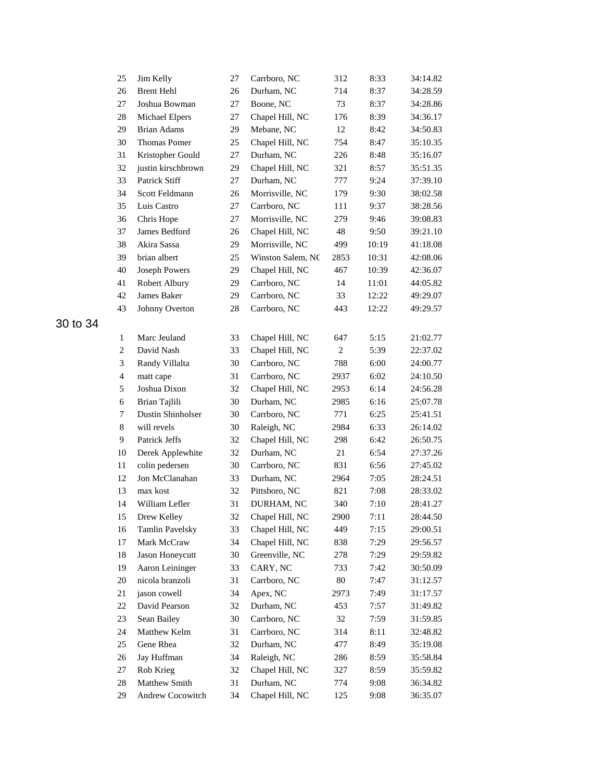| 25             | Jim Kelly              | 27 | Carrboro, NC      | 312            | 8:33  | 34:14.82 |
|----------------|------------------------|----|-------------------|----------------|-------|----------|
| 26             | <b>Brent Hehl</b>      | 26 | Durham, NC        | 714            | 8:37  | 34:28.59 |
| 27             | Joshua Bowman          | 27 | Boone, NC         | 73             | 8:37  | 34:28.86 |
| 28             | Michael Elpers         | 27 | Chapel Hill, NC   | 176            | 8:39  | 34:36.17 |
| 29             | <b>Brian Adams</b>     | 29 | Mebane, NC        | 12             | 8:42  | 34:50.83 |
| 30             | <b>Thomas Pomer</b>    | 25 | Chapel Hill, NC   | 754            | 8:47  | 35:10.35 |
| 31             | Kristopher Gould       | 27 | Durham, NC        | 226            | 8:48  | 35:16.07 |
| 32             | justin kirschbrown     | 29 | Chapel Hill, NC   | 321            | 8:57  | 35:51.35 |
| 33             | Patrick Stiff          | 27 | Durham, NC        | 777            | 9:24  | 37:39.10 |
| 34             | <b>Scott Feldmann</b>  | 26 | Morrisville, NC   | 179            | 9:30  | 38:02.58 |
| 35             | Luis Castro            | 27 | Carrboro, NC      | 111            | 9:37  | 38:28.56 |
| 36             | Chris Hope             | 27 | Morrisville, NC   | 279            | 9:46  | 39:08.83 |
| 37             | James Bedford          | 26 | Chapel Hill, NC   | 48             | 9:50  | 39:21.10 |
| 38             | Akira Sassa            | 29 | Morrisville, NC   | 499            | 10:19 | 41:18.08 |
| 39             | brian albert           | 25 | Winston Salem, NC | 2853           | 10:31 | 42:08.06 |
| 40             | <b>Joseph Powers</b>   | 29 | Chapel Hill, NC   | 467            | 10:39 | 42:36.07 |
| 41             | Robert Albury          | 29 | Carrboro, NC      | 14             | 11:01 | 44:05.82 |
| 42             | James Baker            | 29 | Carrboro, NC      | 33             | 12:22 | 49:29.07 |
| 43             | Johnny Overton         | 28 | Carrboro, NC      | 443            | 12:22 | 49:29.57 |
|                |                        |    |                   |                |       |          |
| $\mathbf{1}$   | Marc Jeuland           | 33 | Chapel Hill, NC   | 647            | 5:15  | 21:02.77 |
| $\overline{c}$ | David Nash             | 33 | Chapel Hill, NC   | $\overline{c}$ | 5:39  | 22:37.02 |
| 3              | Randy Villalta         | 30 | Carrboro, NC      | 788            | 6:00  | 24:00.77 |
| $\overline{4}$ | matt cape              | 31 | Carrboro, NC      | 2937           | 6:02  | 24:10.50 |
| $\sqrt{5}$     | Joshua Dixon           | 32 | Chapel Hill, NC   | 2953           | 6:14  | 24:56.28 |
| 6              | Brian Tajlili          | 30 | Durham, NC        | 2985           | 6:16  | 25:07.78 |
| $\tau$         | Dustin Shinholser      | 30 | Carrboro, NC      | 771            | 6:25  | 25:41.51 |
| $\,8\,$        | will revels            | 30 | Raleigh, NC       | 2984           | 6:33  | 26:14.02 |
| $\overline{9}$ | Patrick Jeffs          | 32 | Chapel Hill, NC   | 298            | 6:42  | 26:50.75 |
| 10             | Derek Applewhite       | 32 | Durham, NC        | 21             | 6:54  | 27:37.26 |
| 11             | colin pedersen         | 30 | Carrboro, NC      | 831            | 6:56  | 27:45.02 |
| 12             | Jon McClanahan         | 33 | Durham, NC        | 2964           | 7:05  | 28:24.51 |
| 13             | max kost               | 32 | Pittsboro, NC     | 821            | 7:08  | 28:33.02 |
| 14             | William Lefler         | 31 | DURHAM, NC        | 340            | 7:10  | 28:41.27 |
| 15             | Drew Kelley            | 32 | Chapel Hill, NC   | 2900           | 7:11  | 28:44.50 |
| 16             | <b>Tamlin Pavelsky</b> | 33 | Chapel Hill, NC   | 449            | 7:15  | 29:00.51 |
| 17             | Mark McCraw            | 34 | Chapel Hill, NC   | 838            | 7:29  | 29:56.57 |
| 18             | Jason Honeycutt        | 30 | Greenville, NC    | 278            | 7:29  | 29:59.82 |
| 19             | Aaron Leininger        | 33 | CARY, NC          | 733            | 7:42  | 30:50.09 |
| 20             | nicola branzoli        | 31 | Carrboro, NC      | 80             | 7:47  | 31:12.57 |
| 21             | jason cowell           | 34 | Apex, NC          | 2973           | 7:49  | 31:17.57 |
| 22             | David Pearson          | 32 | Durham, NC        | 453            | 7:57  | 31:49.82 |
| 23             | Sean Bailey            | 30 | Carrboro, NC      | 32             | 7:59  | 31:59.85 |
| 24             | Matthew Kelm           | 31 | Carrboro, NC      | 314            | 8:11  | 32:48.82 |
| 25             | Gene Rhea              | 32 | Durham, NC        | 477            | 8:49  | 35:19.08 |
| 26             | Jay Huffman            | 34 | Raleigh, NC       | 286            | 8:59  | 35:58.84 |
| 27             | Rob Krieg              | 32 | Chapel Hill, NC   | 327            | 8:59  | 35:59.82 |
| $28\,$         | Matthew Smith          | 31 | Durham, NC        | 774            | 9:08  | 36:34.82 |
| 29             | Andrew Cocowitch       | 34 | Chapel Hill, NC   | 125            | 9:08  | 36:35.07 |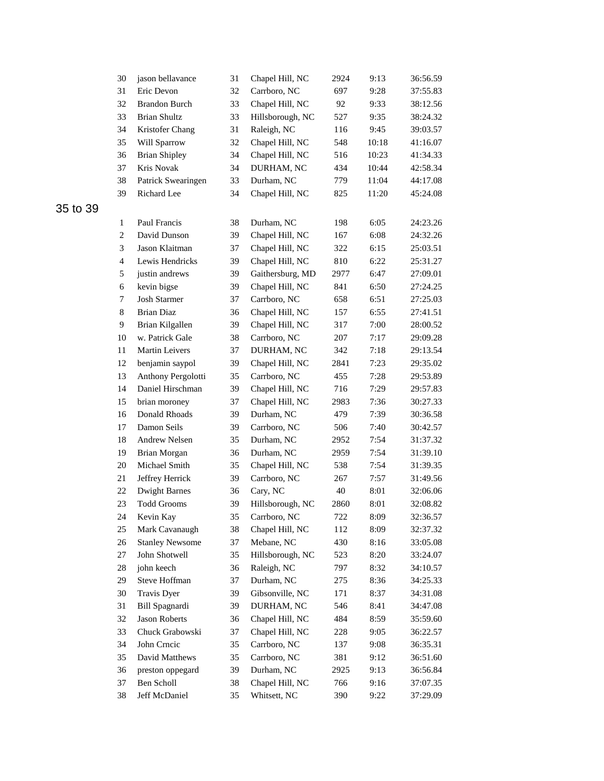| 30                          | jason bellavance       | 31 | Chapel Hill, NC  | 2924 | 9:13  | 36:56.59 |
|-----------------------------|------------------------|----|------------------|------|-------|----------|
| 31                          | Eric Devon             | 32 | Carrboro, NC     | 697  | 9:28  | 37:55.83 |
| 32                          | <b>Brandon Burch</b>   | 33 | Chapel Hill, NC  | 92   | 9:33  | 38:12.56 |
| 33                          | <b>Brian Shultz</b>    | 33 | Hillsborough, NC | 527  | 9:35  | 38:24.32 |
| 34                          | Kristofer Chang        | 31 | Raleigh, NC      | 116  | 9:45  | 39:03.57 |
| 35                          | Will Sparrow           | 32 | Chapel Hill, NC  | 548  | 10:18 | 41:16.07 |
| 36                          | <b>Brian Shipley</b>   | 34 | Chapel Hill, NC  | 516  | 10:23 | 41:34.33 |
| 37                          | Kris Novak             | 34 | DURHAM, NC       | 434  | 10:44 | 42:58.34 |
| 38                          | Patrick Swearingen     | 33 | Durham, NC       | 779  | 11:04 | 44:17.08 |
| 39                          | Richard Lee            | 34 | Chapel Hill, NC  | 825  | 11:20 | 45:24.08 |
|                             |                        |    |                  |      |       |          |
| 1                           | Paul Francis           | 38 | Durham, NC       | 198  | 6:05  | 24:23.26 |
| $\overline{c}$              | David Dunson           | 39 | Chapel Hill, NC  | 167  | 6:08  | 24:32.26 |
| $\ensuremath{\mathfrak{Z}}$ | Jason Klaitman         | 37 | Chapel Hill, NC  | 322  | 6:15  | 25:03.51 |
| $\overline{4}$              | Lewis Hendricks        | 39 | Chapel Hill, NC  | 810  | 6:22  | 25:31.27 |
| 5                           | justin andrews         | 39 | Gaithersburg, MD | 2977 | 6:47  | 27:09.01 |
| 6                           | kevin bigse            | 39 | Chapel Hill, NC  | 841  | 6:50  | 27:24.25 |
| 7                           | <b>Josh Starmer</b>    | 37 | Carrboro, NC     | 658  | 6:51  | 27:25.03 |
| $\,8\,$                     | <b>Brian Diaz</b>      | 36 | Chapel Hill, NC  | 157  | 6:55  | 27:41.51 |
| 9                           | Brian Kilgallen        | 39 | Chapel Hill, NC  | 317  | 7:00  | 28:00.52 |
| 10                          | w. Patrick Gale        | 38 | Carrboro, NC     | 207  | 7:17  | 29:09.28 |
| 11                          | Martin Leivers         | 37 | DURHAM, NC       | 342  | 7:18  | 29:13.54 |
| 12                          | benjamin saypol        | 39 | Chapel Hill, NC  | 2841 | 7:23  | 29:35.02 |
| 13                          | Anthony Pergolotti     | 35 | Carrboro, NC     | 455  | 7:28  | 29:53.89 |
| 14                          | Daniel Hirschman       | 39 | Chapel Hill, NC  | 716  | 7:29  | 29:57.83 |
| 15                          | brian moroney          | 37 | Chapel Hill, NC  | 2983 | 7:36  | 30:27.33 |
| 16                          | Donald Rhoads          | 39 | Durham, NC       | 479  | 7:39  | 30:36.58 |
| 17                          | Damon Seils            | 39 | Carrboro, NC     | 506  | 7:40  | 30:42.57 |
| $18\,$                      | Andrew Nelsen          | 35 | Durham, NC       | 2952 | 7:54  | 31:37.32 |
| 19                          | Brian Morgan           | 36 | Durham, NC       | 2959 | 7:54  | 31:39.10 |
| 20                          | Michael Smith          | 35 | Chapel Hill, NC  | 538  | 7:54  | 31:39.35 |
| 21                          | Jeffrey Herrick        | 39 | Carrboro, NC     | 267  | 7:57  | 31:49.56 |
| 22                          | <b>Dwight Barnes</b>   | 36 | Cary, NC         | 40   | 8:01  | 32:06.06 |
| 23                          | <b>Todd Grooms</b>     | 39 | Hillsborough, NC | 2860 | 8:01  | 32:08.82 |
| 24                          | Kevin Kay              | 35 | Carrboro, NC     | 722  | 8:09  | 32:36.57 |
| 25                          | Mark Cavanaugh         | 38 | Chapel Hill, NC  | 112  | 8:09  | 32:37.32 |
| $26\,$                      | <b>Stanley Newsome</b> | 37 | Mebane, NC       | 430  | 8:16  | 33:05.08 |
| 27                          | John Shotwell          | 35 | Hillsborough, NC | 523  | 8:20  | 33:24.07 |
| $28\,$                      | john keech             | 36 | Raleigh, NC      | 797  | 8:32  | 34:10.57 |
| 29                          | Steve Hoffman          | 37 | Durham, NC       | 275  | 8:36  | 34:25.33 |
| 30                          | Travis Dyer            | 39 | Gibsonville, NC  | 171  | 8:37  | 34:31.08 |
| 31                          | Bill Spagnardi         | 39 | DURHAM, NC       | 546  | 8:41  | 34:47.08 |
| 32                          | <b>Jason Roberts</b>   | 36 | Chapel Hill, NC  | 484  | 8:59  | 35:59.60 |
| 33                          | Chuck Grabowski        | 37 | Chapel Hill, NC  | 228  | 9:05  | 36:22.57 |
| 34                          | John Crncic            | 35 | Carrboro, NC     | 137  | 9:08  | 36:35.31 |
| 35                          | David Matthews         | 35 | Carrboro, NC     | 381  | 9:12  | 36:51.60 |
| 36                          | preston oppegard       | 39 | Durham, NC       | 2925 | 9:13  | 36:56.84 |
| 37                          | Ben Scholl             | 38 | Chapel Hill, NC  | 766  | 9:16  | 37:07.35 |
| 38                          | Jeff McDaniel          | 35 | Whitsett, NC     | 390  | 9:22  | 37:29.09 |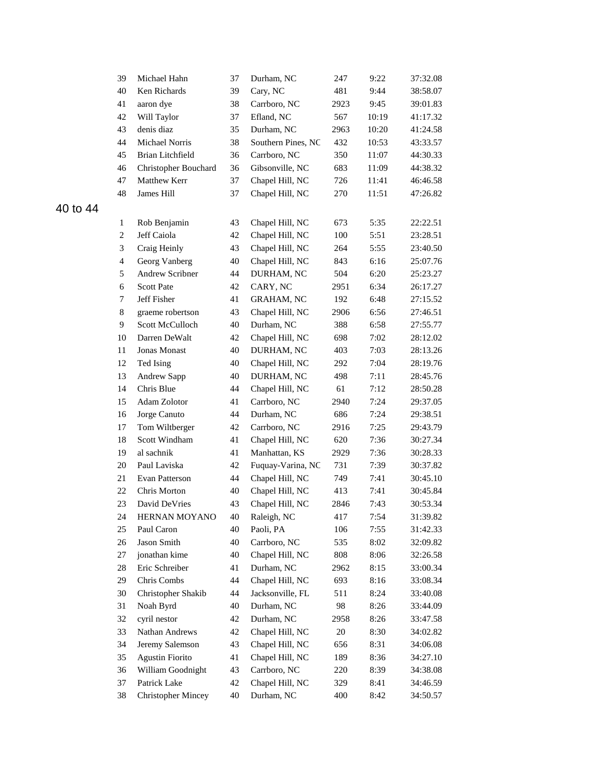| 39                          | Michael Hahn                            | 37 | Durham, NC                     | 247  | 9:22         | 37:32.08 |
|-----------------------------|-----------------------------------------|----|--------------------------------|------|--------------|----------|
| 40                          | Ken Richards                            | 39 | Cary, NC                       | 481  | 9:44         | 38:58.07 |
| 41                          | aaron dye                               | 38 | Carrboro, NC                   | 2923 | 9:45         | 39:01.83 |
| 42                          | Will Taylor                             | 37 | Efland, NC                     | 567  | 10:19        | 41:17.32 |
| 43                          | denis diaz                              | 35 | Durham, NC                     | 2963 | 10:20        | 41:24.58 |
| 44                          | Michael Norris                          | 38 | Southern Pines, NC             | 432  | 10:53        | 43:33.57 |
| 45                          | Brian Litchfield                        | 36 | Carrboro, NC                   | 350  | 11:07        | 44:30.33 |
| 46                          | Christopher Bouchard                    | 36 | Gibsonville, NC                | 683  | 11:09        | 44:38.32 |
| 47                          | Matthew Kerr                            | 37 | Chapel Hill, NC                | 726  | 11:41        | 46:46.58 |
| 48                          | James Hill                              | 37 | Chapel Hill, NC                | 270  | 11:51        | 47:26.82 |
| 1                           | Rob Benjamin                            | 43 | Chapel Hill, NC                | 673  | 5:35         | 22:22.51 |
| $\boldsymbol{2}$            | Jeff Caiola                             | 42 | Chapel Hill, NC                | 100  | 5:51         | 23:28.51 |
| $\ensuremath{\mathfrak{Z}}$ | Craig Heinly                            | 43 | Chapel Hill, NC                | 264  | 5:55         | 23:40.50 |
| $\overline{4}$              |                                         |    |                                |      |              |          |
|                             | Georg Vanberg<br><b>Andrew Scribner</b> | 40 | Chapel Hill, NC                | 843  | 6:16         | 25:07.76 |
| 5                           |                                         | 44 | DURHAM, NC                     | 504  | 6:20         | 25:23.27 |
| 6                           | <b>Scott Pate</b>                       | 42 | CARY, NC                       | 2951 | 6:34         | 26:17.27 |
| 7                           | Jeff Fisher                             | 41 | <b>GRAHAM, NC</b>              | 192  | 6:48         | 27:15.52 |
| 8                           | graeme robertson                        | 43 | Chapel Hill, NC                | 2906 | 6:56         | 27:46.51 |
| 9                           | Scott McCulloch                         | 40 | Durham, NC                     | 388  | 6:58         | 27:55.77 |
| 10                          | Darren DeWalt                           | 42 | Chapel Hill, NC                | 698  | 7:02         | 28:12.02 |
| 11                          | Jonas Monast                            | 40 | DURHAM, NC                     | 403  | 7:03         | 28:13.26 |
| 12                          | Ted Ising                               | 40 | Chapel Hill, NC                | 292  | 7:04         | 28:19.76 |
| 13                          | Andrew Sapp                             | 40 | DURHAM, NC                     | 498  | 7:11         | 28:45.76 |
| 14                          | Chris Blue                              | 44 | Chapel Hill, NC                | 61   | 7:12         | 28:50.28 |
| 15                          | Adam Zolotor                            | 41 | Carrboro, NC                   | 2940 | 7:24         | 29:37.05 |
| 16                          | Jorge Canuto                            | 44 | Durham, NC                     | 686  | 7:24         | 29:38.51 |
| 17                          | Tom Wiltberger                          | 42 | Carrboro, NC                   | 2916 | 7:25         | 29:43.79 |
| 18                          | Scott Windham                           | 41 | Chapel Hill, NC                | 620  | 7:36         | 30:27.34 |
| 19                          | al sachnik<br>Paul Laviska              | 41 | Manhattan, KS                  | 2929 | 7:36         | 30:28.33 |
| $20\,$                      |                                         | 42 | Fuquay-Varina, NC              | 731  | 7:39         | 30:37.82 |
| 21                          | Evan Patterson                          | 44 | Chapel Hill, NC                | 749  | 7:41<br>7:41 | 30:45.10 |
| 22                          | Chris Morton                            | 40 | Chapel Hill, NC                | 413  |              | 30:45.84 |
| 23                          | David DeVries                           | 43 | Chapel Hill, NC<br>Raleigh, NC | 2846 | 7:43         | 30:53.34 |
| 24                          | HERNAN MOYANO                           | 40 |                                | 417  | 7:54         | 31:39.82 |
| 25                          | Paul Caron                              | 40 | Paoli, PA                      | 106  | 7:55         | 31:42.33 |
| 26                          | Jason Smith                             | 40 | Carrboro, NC                   | 535  | 8:02         | 32:09.82 |
| 27                          | jonathan kime                           | 40 | Chapel Hill, NC                | 808  | 8:06         | 32:26.58 |
| 28                          | Eric Schreiber                          | 41 | Durham, NC                     | 2962 | 8:15         | 33:00.34 |
| 29                          | Chris Combs                             | 44 | Chapel Hill, NC                | 693  | 8:16         | 33:08.34 |
| 30                          | Christopher Shakib                      | 44 | Jacksonville, FL               | 511  | 8:24         | 33:40.08 |
| 31                          | Noah Byrd                               | 40 | Durham, NC                     | 98   | 8:26         | 33:44.09 |
| 32                          | cyril nestor                            | 42 | Durham, NC                     | 2958 | 8:26         | 33:47.58 |
| 33                          | Nathan Andrews                          | 42 | Chapel Hill, NC                | 20   | 8:30         | 34:02.82 |
| 34                          | Jeremy Salemson                         | 43 | Chapel Hill, NC                | 656  | 8:31         | 34:06.08 |
| 35                          | <b>Agustin Fiorito</b>                  | 41 | Chapel Hill, NC                | 189  | 8:36         | 34:27.10 |
| 36                          | William Goodnight                       | 43 | Carrboro, NC                   | 220  | 8:39         | 34:38.08 |
| 37                          | Patrick Lake                            | 42 | Chapel Hill, NC                | 329  | 8:41         | 34:46.59 |
| 38                          | <b>Christopher Mincey</b>               | 40 | Durham, NC                     | 400  | 8:42         | 34:50.57 |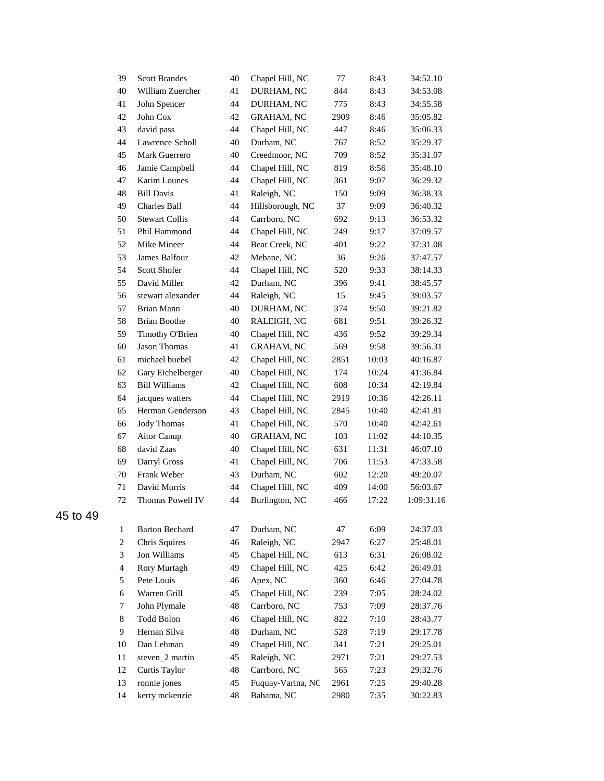| 39             | <b>Scott Brandes</b>  | 40 | Chapel Hill, NC   | 77   | 8:43  | 34:52.10   |
|----------------|-----------------------|----|-------------------|------|-------|------------|
| 40             | William Zuercher      | 41 | DURHAM, NC        | 844  | 8:43  | 34:53.08   |
| 41             | John Spencer          | 44 | DURHAM, NC        | 775  | 8:43  | 34:55.58   |
| 42             | John Cox              | 42 | <b>GRAHAM, NC</b> | 2909 | 8:46  | 35:05.82   |
| 43             | david pass            | 44 | Chapel Hill, NC   | 447  | 8:46  | 35:06.33   |
| 44             | Lawrence Scholl       | 40 | Durham, NC        | 767  | 8:52  | 35:29.37   |
| 45             | Mark Guerrero         | 40 | Creedmoor, NC     | 709  | 8:52  | 35:31.07   |
| 46             | Jamie Campbell        | 44 | Chapel Hill, NC   | 819  | 8:56  | 35:48.10   |
| 47             | <b>Karim Lounes</b>   | 44 | Chapel Hill, NC   | 361  | 9:07  | 36:29.32   |
| 48             | <b>Bill Davis</b>     | 41 | Raleigh, NC       | 150  | 9:09  | 36:38.33   |
| 49             | Charles Ball          | 44 | Hillsborough, NC  | 37   | 9:09  | 36:40.32   |
| 50             | <b>Stewart Collis</b> | 44 | Carrboro, NC      | 692  | 9:13  | 36:53.32   |
| 51             | Phil Hammond          | 44 | Chapel Hill, NC   | 249  | 9:17  | 37:09.57   |
| 52             | Mike Mineer           | 44 | Bear Creek, NC    | 401  | 9:22  | 37:31.08   |
| 53             | James Balfour         | 42 | Mebane, NC        | 36   | 9:26  | 37:47.57   |
| 54             | <b>Scott Shofer</b>   | 44 | Chapel Hill, NC   | 520  | 9:33  | 38:14.33   |
| 55             | David Miller          | 42 | Durham, NC        | 396  | 9:41  | 38:45.57   |
| 56             | stewart alexander     | 44 | Raleigh, NC       | 15   | 9:45  | 39:03.57   |
| 57             | Brian Mann            | 40 | DURHAM, NC        | 374  | 9:50  | 39:21.82   |
| 58             | <b>Brian Boothe</b>   | 40 | RALEIGH, NC       | 681  | 9:51  | 39:26.32   |
| 59             | Timothy O'Brien       | 40 | Chapel Hill, NC   | 436  | 9:52  | 39:29.34   |
| 60             | Jason Thomas          | 41 | <b>GRAHAM, NC</b> | 569  | 9:58  | 39:56.31   |
| 61             | michael buebel        | 42 | Chapel Hill, NC   | 2851 | 10:03 | 40:16.87   |
| 62             | Gary Eichelberger     | 40 | Chapel Hill, NC   | 174  | 10:24 | 41:36.84   |
| 63             | <b>Bill Williams</b>  | 42 | Chapel Hill, NC   | 608  | 10:34 | 42:19.84   |
| 64             | jacques watters       | 44 | Chapel Hill, NC   | 2919 | 10:36 | 42:26.11   |
| 65             | Herman Genderson      | 43 | Chapel Hill, NC   | 2845 | 10:40 | 42:41.81   |
| 66             | <b>Jody Thomas</b>    | 41 | Chapel Hill, NC   | 570  | 10:40 | 42:42.61   |
| 67             | Aitor Canup           | 40 | <b>GRAHAM, NC</b> | 103  | 11:02 | 44:10.35   |
| 68             | david Zaas            | 40 | Chapel Hill, NC   | 631  | 11:31 | 46:07.10   |
| 69             | Darryl Gross          | 41 | Chapel Hill, NC   | 706  | 11:53 | 47:33.58   |
| 70             | Frank Weber           | 43 | Durham, NC        | 602  | 12:20 | 49:20.07   |
| 71             | David Morris          | 44 | Chapel Hill, NC   | 409  | 14:00 | 56:03.67   |
| 72             | Thomas Powell IV      | 44 | Burlington, NC    | 466  | 17:22 | 1:09:31.16 |
| 1              | <b>Barton Bechard</b> | 47 | Durham, NC        | 47   | 6:09  | 24:37.03   |
| 2              | Chris Squires         | 46 | Raleigh, NC       | 2947 | 6:27  | 25:48.01   |
| 3              | Jon Williams          | 45 | Chapel Hill, NC   | 613  | 6:31  | 26:08.02   |
| $\overline{4}$ | Rory Murtagh          | 49 | Chapel Hill, NC   | 425  | 6:42  | 26:49.01   |
| 5              | Pete Louis            | 46 | Apex, NC          | 360  | 6:46  | 27:04.78   |
| 6              | Warren Grill          | 45 | Chapel Hill, NC   | 239  | 7:05  | 28:24.02   |
| 7              | John Plymale          | 48 | Carrboro, NC      | 753  | 7:09  | 28:37.76   |
| 8              | <b>Todd Bolon</b>     | 46 | Chapel Hill, NC   | 822  | 7:10  | 28:43.77   |
| 9              | Hernan Silva          | 48 | Durham, NC        | 528  | 7:19  | 29:17.78   |
| 10             | Dan Lehman            | 49 | Chapel Hill, NC   | 341  | 7:21  | 29:25.01   |
| 11             | steven_2 martin       | 45 | Raleigh, NC       | 2971 | 7:21  | 29:27.53   |
| 12             | Curtis Taylor         | 48 | Carrboro, NC      | 565  | 7:23  | 29:32.76   |
| 13             | ronnie jones          | 45 | Fuquay-Varina, NC | 2961 | 7:25  | 29:40.28   |
| 14             | kerry mckenzie        | 48 | Bahama, NC        | 2980 | 7:35  | 30:22.83   |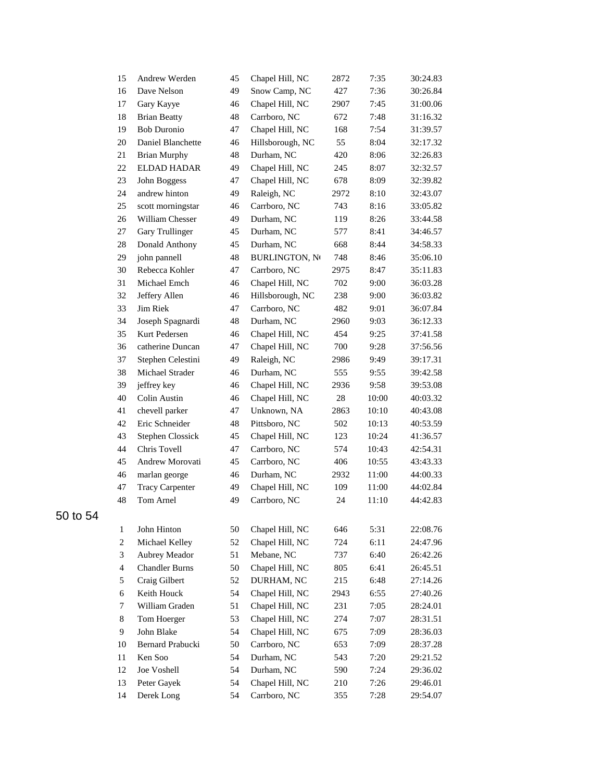| 15             | Andrew Werden          | 45 | Chapel Hill, NC       | 2872 | 7:35  | 30:24.83 |
|----------------|------------------------|----|-----------------------|------|-------|----------|
| 16             | Dave Nelson            | 49 | Snow Camp, NC         | 427  | 7:36  | 30:26.84 |
| 17             | Gary Kayye             | 46 | Chapel Hill, NC       | 2907 | 7:45  | 31:00.06 |
| 18             | <b>Brian Beatty</b>    | 48 | Carrboro, NC          | 672  | 7:48  | 31:16.32 |
| 19             | <b>Bob Duronio</b>     | 47 | Chapel Hill, NC       | 168  | 7:54  | 31:39.57 |
| 20             | Daniel Blanchette      | 46 | Hillsborough, NC      | 55   | 8:04  | 32:17.32 |
| 21             | <b>Brian Murphy</b>    | 48 | Durham, NC            | 420  | 8:06  | 32:26.83 |
| 22             | ELDAD HADAR            | 49 | Chapel Hill, NC       | 245  | 8:07  | 32:32.57 |
| 23             | John Boggess           | 47 | Chapel Hill, NC       | 678  | 8:09  | 32:39.82 |
| 24             | andrew hinton          | 49 | Raleigh, NC           | 2972 | 8:10  | 32:43.07 |
| 25             | scott morningstar      | 46 | Carrboro, NC          | 743  | 8:16  | 33:05.82 |
| 26             | William Chesser        | 49 | Durham, NC            | 119  | 8:26  | 33:44.58 |
| 27             | Gary Trullinger        | 45 | Durham, NC            | 577  | 8:41  | 34:46.57 |
| 28             | Donald Anthony         | 45 | Durham, NC            | 668  | 8:44  | 34:58.33 |
| 29             | john pannell           | 48 | <b>BURLINGTON, NO</b> | 748  | 8:46  | 35:06.10 |
| 30             | Rebecca Kohler         | 47 | Carrboro, NC          | 2975 | 8:47  | 35:11.83 |
| 31             | Michael Emch           | 46 | Chapel Hill, NC       | 702  | 9:00  | 36:03.28 |
| 32             | Jeffery Allen          | 46 | Hillsborough, NC      | 238  | 9:00  | 36:03.82 |
| 33             | Jim Riek               | 47 | Carrboro, NC          | 482  | 9:01  | 36:07.84 |
| 34             | Joseph Spagnardi       | 48 | Durham, NC            | 2960 | 9:03  | 36:12.33 |
| 35             | Kurt Pedersen          | 46 | Chapel Hill, NC       | 454  | 9:25  | 37:41.58 |
| 36             | catherine Duncan       | 47 | Chapel Hill, NC       | 700  | 9:28  | 37:56.56 |
| 37             | Stephen Celestini      | 49 | Raleigh, NC           | 2986 | 9:49  | 39:17.31 |
| 38             | Michael Strader        | 46 | Durham, NC            | 555  | 9:55  | 39:42.58 |
| 39             | jeffrey key            | 46 | Chapel Hill, NC       | 2936 | 9:58  | 39:53.08 |
| 40             | Colin Austin           | 46 | Chapel Hill, NC       | 28   | 10:00 | 40:03.32 |
| 41             | chevell parker         | 47 | Unknown, NA           | 2863 | 10:10 | 40:43.08 |
| 42             | Eric Schneider         | 48 | Pittsboro, NC         | 502  | 10:13 | 40:53.59 |
| 43             | Stephen Clossick       | 45 | Chapel Hill, NC       | 123  | 10:24 | 41:36.57 |
| 44             | Chris Tovell           | 47 | Carrboro, NC          | 574  | 10:43 | 42:54.31 |
| 45             | Andrew Morovati        | 45 | Carrboro, NC          | 406  | 10:55 | 43:43.33 |
| 46             | marlan george          | 46 | Durham, NC            | 2932 | 11:00 | 44:00.33 |
| 47             | <b>Tracy Carpenter</b> | 49 | Chapel Hill, NC       | 109  | 11:00 | 44:02.84 |
| 48             | Tom Arnel              | 49 | Carrboro, NC          | 24   | 11:10 | 44:42.83 |
| 1              | John Hinton            | 50 | Chapel Hill, NC       | 646  | 5:31  | 22:08.76 |
| 2              | Michael Kelley         | 52 | Chapel Hill, NC       | 724  | 6:11  | 24:47.96 |
| 3              | Aubrey Meador          | 51 | Mebane, NC            | 737  | 6:40  | 26:42.26 |
| $\overline{4}$ | <b>Chandler Burns</b>  | 50 | Chapel Hill, NC       | 805  | 6:41  | 26:45.51 |
| 5              | Craig Gilbert          | 52 | DURHAM, NC            | 215  | 6:48  | 27:14.26 |
| 6              | Keith Houck            | 54 | Chapel Hill, NC       | 2943 | 6:55  | 27:40.26 |
| 7              | William Graden         | 51 | Chapel Hill, NC       | 231  | 7:05  | 28:24.01 |
| 8              | Tom Hoerger            | 53 | Chapel Hill, NC       | 274  | 7:07  | 28:31.51 |
| 9.             | John Blake             | 54 | Chapel Hill, NC       | 675  | 7:09  | 28:36.03 |
| 10             | Bernard Prabucki       | 50 | Carrboro, NC          | 653  | 7:09  | 28:37.28 |
| 11             | Ken Soo                | 54 | Durham, NC            | 543  | 7:20  | 29:21.52 |
| 12             | Joe Voshell            | 54 | Durham, NC            | 590  | 7:24  | 29:36.02 |
| 13             | Peter Gayek            | 54 | Chapel Hill, NC       | 210  | 7:26  | 29:46.01 |
| 14             | Derek Long             | 54 | Carrboro, NC          | 355  | 7:28  | 29:54.07 |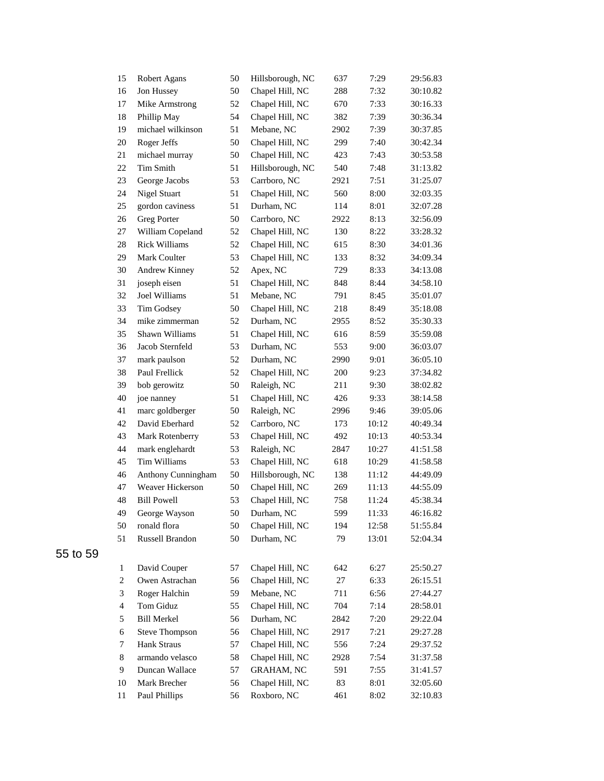| 15             | Robert Agans          | 50 | Hillsborough, NC  | 637  | 7:29  | 29:56.83 |
|----------------|-----------------------|----|-------------------|------|-------|----------|
| 16             | Jon Hussey            | 50 | Chapel Hill, NC   | 288  | 7:32  | 30:10.82 |
| 17             | Mike Armstrong        | 52 | Chapel Hill, NC   | 670  | 7:33  | 30:16.33 |
| 18             | Phillip May           | 54 | Chapel Hill, NC   | 382  | 7:39  | 30:36.34 |
| 19             | michael wilkinson     | 51 | Mebane, NC        | 2902 | 7:39  | 30:37.85 |
| 20             | Roger Jeffs           | 50 | Chapel Hill, NC   | 299  | 7:40  | 30:42.34 |
| $21\,$         | michael murray        | 50 | Chapel Hill, NC   | 423  | 7:43  | 30:53.58 |
| 22             | Tim Smith             | 51 | Hillsborough, NC  | 540  | 7:48  | 31:13.82 |
| 23             | George Jacobs         | 53 | Carrboro, NC      | 2921 | 7:51  | 31:25.07 |
| 24             | <b>Nigel Stuart</b>   | 51 | Chapel Hill, NC   | 560  | 8:00  | 32:03.35 |
| 25             | gordon caviness       | 51 | Durham, NC        | 114  | 8:01  | 32:07.28 |
| 26             | Greg Porter           | 50 | Carrboro, NC      | 2922 | 8:13  | 32:56.09 |
| 27             | William Copeland      | 52 | Chapel Hill, NC   | 130  | 8:22  | 33:28.32 |
| 28             | <b>Rick Williams</b>  | 52 | Chapel Hill, NC   | 615  | 8:30  | 34:01.36 |
| 29             | Mark Coulter          | 53 | Chapel Hill, NC   | 133  | 8:32  | 34:09.34 |
| 30             | Andrew Kinney         | 52 | Apex, NC          | 729  | 8:33  | 34:13.08 |
| 31             | joseph eisen          | 51 | Chapel Hill, NC   | 848  | 8:44  | 34:58.10 |
| 32             | Joel Williams         | 51 | Mebane, NC        | 791  | 8:45  | 35:01.07 |
| 33             | Tim Godsey            | 50 | Chapel Hill, NC   | 218  | 8:49  | 35:18.08 |
| 34             | mike zimmerman        | 52 | Durham, NC        | 2955 | 8:52  | 35:30.33 |
| 35             | Shawn Williams        | 51 | Chapel Hill, NC   | 616  | 8:59  | 35:59.08 |
| 36             | Jacob Sternfeld       | 53 | Durham, NC        | 553  | 9:00  | 36:03.07 |
| 37             | mark paulson          | 52 | Durham, NC        | 2990 | 9:01  | 36:05.10 |
| 38             | Paul Frellick         | 52 | Chapel Hill, NC   | 200  | 9:23  | 37:34.82 |
| 39             | bob gerowitz          | 50 | Raleigh, NC       | 211  | 9:30  | 38:02.82 |
| 40             | joe nanney            | 51 | Chapel Hill, NC   | 426  | 9:33  | 38:14.58 |
| 41             | marc goldberger       | 50 | Raleigh, NC       | 2996 | 9:46  | 39:05.06 |
| 42             | David Eberhard        | 52 | Carrboro, NC      | 173  | 10:12 | 40:49.34 |
| 43             | Mark Rotenberry       | 53 | Chapel Hill, NC   | 492  | 10:13 | 40:53.34 |
| 44             | mark englehardt       | 53 | Raleigh, NC       | 2847 | 10:27 | 41:51.58 |
| 45             | Tim Williams          | 53 | Chapel Hill, NC   | 618  | 10:29 | 41:58.58 |
| 46             | Anthony Cunningham    | 50 | Hillsborough, NC  | 138  | 11:12 | 44:49.09 |
| 47             | Weaver Hickerson      | 50 | Chapel Hill, NC   | 269  | 11:13 | 44:55.09 |
| 48             | <b>Bill Powell</b>    | 53 | Chapel Hill, NC   | 758  | 11:24 | 45:38.34 |
| 49             | George Wayson         | 50 | Durham, NC        | 599  | 11:33 | 46:16.82 |
| 50             | ronald flora          | 50 | Chapel Hill, NC   | 194  | 12:58 | 51:55.84 |
| 51             | Russell Brandon       | 50 | Durham, NC        | 79   | 13:01 | 52:04.34 |
| $\mathbf{1}$   | David Couper          | 57 | Chapel Hill, NC   | 642  | 6:27  | 25:50.27 |
| $\overline{c}$ | Owen Astrachan        | 56 | Chapel Hill, NC   | 27   | 6:33  | 26:15.51 |
| 3              | Roger Halchin         | 59 | Mebane, NC        | 711  | 6:56  | 27:44.27 |
| 4              | Tom Giduz             | 55 | Chapel Hill, NC   | 704  | 7:14  | 28:58.01 |
| 5              | <b>Bill Merkel</b>    | 56 | Durham, NC        | 2842 | 7:20  | 29:22.04 |
| 6              | <b>Steve Thompson</b> | 56 | Chapel Hill, NC   | 2917 | 7:21  | 29:27.28 |
| 7              | Hank Straus           | 57 | Chapel Hill, NC   | 556  | 7:24  | 29:37.52 |
| 8              | armando velasco       | 58 | Chapel Hill, NC   | 2928 | 7:54  | 31:37.58 |
| 9              | Duncan Wallace        | 57 | <b>GRAHAM, NC</b> | 591  | 7:55  | 31:41.57 |
| 10             | Mark Brecher          | 56 | Chapel Hill, NC   | 83   | 8:01  | 32:05.60 |
| 11             | Paul Phillips         | 56 | Roxboro, NC       | 461  | 8:02  | 32:10.83 |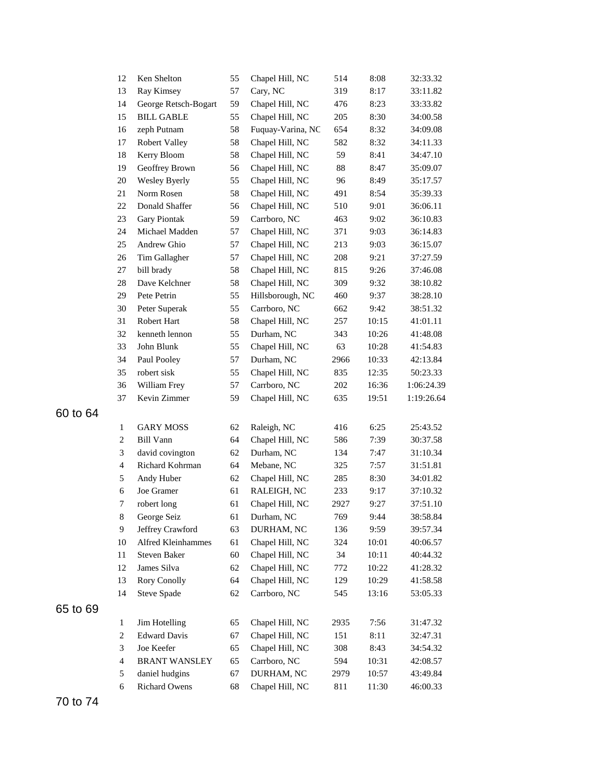|          | 12                       | Ken Shelton          | 55 | Chapel Hill, NC   | 514    | 8:08  | 32:33.32   |
|----------|--------------------------|----------------------|----|-------------------|--------|-------|------------|
|          | 13                       | Ray Kimsey           | 57 | Cary, NC          | 319    | 8:17  | 33:11.82   |
|          | 14                       | George Retsch-Bogart | 59 | Chapel Hill, NC   | 476    | 8:23  | 33:33.82   |
|          | 15                       | <b>BILL GABLE</b>    | 55 | Chapel Hill, NC   | 205    | 8:30  | 34:00.58   |
|          | 16                       | zeph Putnam          | 58 | Fuquay-Varina, NC | 654    | 8:32  | 34:09.08   |
|          | 17                       | <b>Robert Valley</b> | 58 | Chapel Hill, NC   | 582    | 8:32  | 34:11.33   |
|          | 18                       | Kerry Bloom          | 58 | Chapel Hill, NC   | 59     | 8:41  | 34:47.10   |
|          | 19                       | Geoffrey Brown       | 56 | Chapel Hill, NC   | $88\,$ | 8:47  | 35:09.07   |
|          | 20                       | Wesley Byerly        | 55 | Chapel Hill, NC   | 96     | 8:49  | 35:17.57   |
|          | 21                       | Norm Rosen           | 58 | Chapel Hill, NC   | 491    | 8:54  | 35:39.33   |
|          | $22\,$                   | Donald Shaffer       | 56 | Chapel Hill, NC   | 510    | 9:01  | 36:06.11   |
|          | $23\,$                   | <b>Gary Piontak</b>  | 59 | Carrboro, NC      | 463    | 9:02  | 36:10.83   |
|          | 24                       | Michael Madden       | 57 | Chapel Hill, NC   | 371    | 9:03  | 36:14.83   |
|          | 25                       | Andrew Ghio          | 57 | Chapel Hill, NC   | 213    | 9:03  | 36:15.07   |
|          | 26                       | Tim Gallagher        | 57 | Chapel Hill, NC   | 208    | 9:21  | 37:27.59   |
|          | 27                       | bill brady           | 58 | Chapel Hill, NC   | 815    | 9:26  | 37:46.08   |
|          | 28                       | Dave Kelchner        | 58 | Chapel Hill, NC   | 309    | 9:32  | 38:10.82   |
|          | 29                       | Pete Petrin          | 55 | Hillsborough, NC  | 460    | 9:37  | 38:28.10   |
|          | 30                       | Peter Superak        | 55 | Carrboro, NC      | 662    | 9:42  | 38:51.32   |
|          | 31                       | Robert Hart          | 58 | Chapel Hill, NC   | 257    | 10:15 | 41:01.11   |
|          | 32                       | kenneth lennon       | 55 | Durham, NC        | 343    | 10:26 | 41:48.08   |
|          | 33                       | John Blunk           | 55 | Chapel Hill, NC   | 63     | 10:28 | 41:54.83   |
|          | 34                       | Paul Pooley          | 57 | Durham, NC        | 2966   | 10:33 | 42:13.84   |
|          | 35                       | robert sisk          | 55 | Chapel Hill, NC   | 835    | 12:35 | 50:23.33   |
|          | 36                       | William Frey         | 57 | Carrboro, NC      | 202    | 16:36 | 1:06:24.39 |
|          | 37                       | Kevin Zimmer         | 59 | Chapel Hill, NC   | 635    | 19:51 | 1:19:26.64 |
| 60 to 64 |                          |                      |    |                   |        |       |            |
|          | $\mathbf{1}$             | <b>GARY MOSS</b>     | 62 | Raleigh, NC       | 416    | 6:25  | 25:43.52   |
|          | $\boldsymbol{2}$         | <b>Bill Vann</b>     | 64 | Chapel Hill, NC   | 586    | 7:39  | 30:37.58   |
|          | 3                        | david covington      | 62 | Durham, NC        | 134    | 7:47  | 31:10.34   |
|          | $\overline{4}$           | Richard Kohrman      | 64 | Mebane, NC        | 325    | 7:57  | 31:51.81   |
|          | 5                        | Andy Huber           | 62 | Chapel Hill, NC   | 285    | 8:30  | 34:01.82   |
|          | $\sqrt{6}$               | Joe Gramer           | 61 | RALEIGH, NC       | 233    | 9:17  | 37:10.32   |
|          | 7                        | robert long          | 61 | Chapel Hill, NC   | 2927   | 9:27  | 37:51.10   |
|          | $\,8\,$                  | George Seiz          | 61 | Durham, NC        | 769    | 9:44  | 38:58.84   |
|          | 9                        | Jeffrey Crawford     | 63 | DURHAM, NC        | 136    | 9:59  | 39:57.34   |
|          | 10                       | Alfred Kleinhammes   | 61 | Chapel Hill, NC   | 324    | 10:01 | 40:06.57   |
|          | 11                       | Steven Baker         | 60 | Chapel Hill, NC   | 34     | 10:11 | 40:44.32   |
|          | 12                       | James Silva          | 62 | Chapel Hill, NC   | 772    | 10:22 | 41:28.32   |
|          | 13                       | <b>Rory Conolly</b>  | 64 | Chapel Hill, NC   | 129    | 10:29 | 41:58.58   |
|          | 14                       | Steve Spade          | 62 | Carrboro, NC      | 545    | 13:16 | 53:05.33   |
|          |                          |                      |    |                   |        |       |            |
| 65 to 69 |                          |                      |    |                   |        |       |            |
|          | $\mathbf{1}$             | Jim Hotelling        | 65 | Chapel Hill, NC   | 2935   | 7:56  | 31:47.32   |
|          | $\overline{c}$           | <b>Edward Davis</b>  | 67 | Chapel Hill, NC   | 151    | 8:11  | 32:47.31   |
|          | 3                        | Joe Keefer           | 65 | Chapel Hill, NC   | 308    | 8:43  | 34:54.32   |
|          | $\overline{\mathcal{A}}$ | <b>BRANT WANSLEY</b> | 65 | Carrboro, NC      | 594    | 10:31 | 42:08.57   |
|          | 5                        | daniel hudgins       | 67 | DURHAM, NC        | 2979   | 10:57 | 43:49.84   |
|          | 6                        | <b>Richard Owens</b> | 68 | Chapel Hill, NC   | 811    | 11:30 | 46:00.33   |